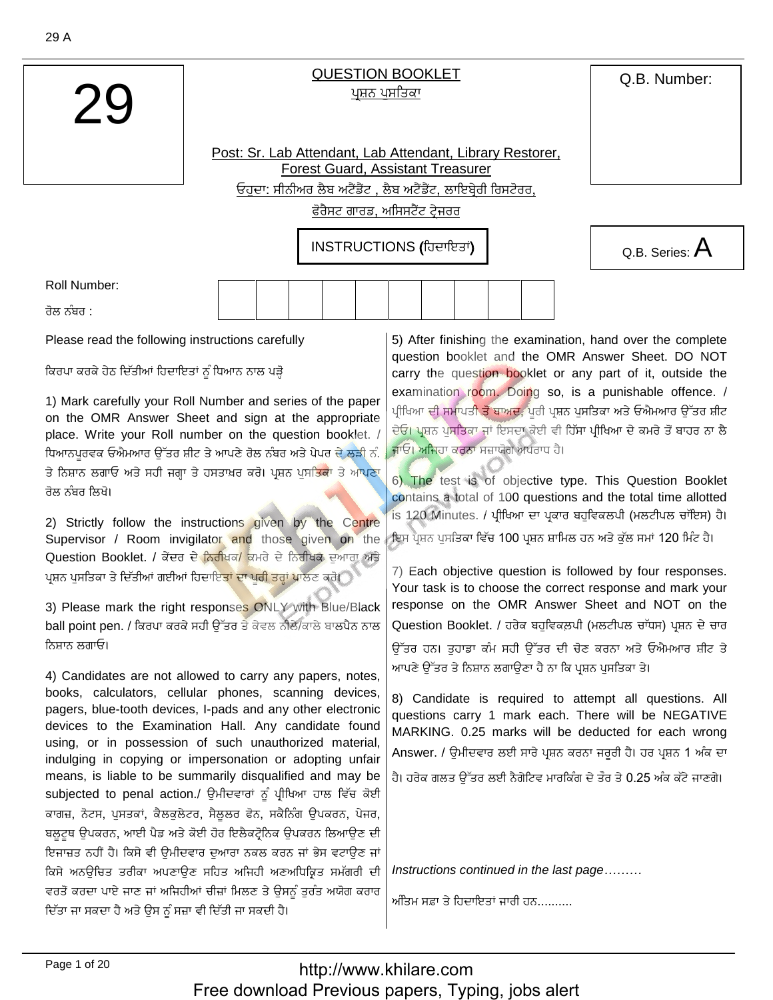Q.B. Number:

## **QUESTION BOOKLET** ਪਸ਼ਨ ਪਸਤਿਕਾ

Post: Sr. Lab Attendant, Lab Attendant, Library Restorer, **Forest Guard, Assistant Treasurer** ਓਹਦਾ: ਸੀਨੀਅਰ ਲੈਬ ਅਟੈਂਡੈਂਟ , ਲੈਬ ਅਟੈਂਡੈਂਟ, ਲਾਇਬ੍ਰੇਰੀ ਰਿਸਟੋਰਰ,

ਫੋਰੈਸਟ ਗਾਰਡ, ਅਸਿਸਟੈਂਟ ਟੇਜਰਰ

INSTRUCTIONS (ਹਿਦਾਇਤਾਂ)



**Roll Number:** 

ਰੋਲ ਨੰਬਰ <sup>-</sup>

Please read the following instructions carefully

ਕਿਰਪਾ ਕਰਕੇ ਹੇਠ ਦਿੱਤੀਆਂ ਹਿਦਾਇਤਾਂ ਨੂੰ ਧਿਆਨ ਨਾਲ ਪੜ੍ਹੋ

1) Mark carefully your Roll Number and series of the paper on the OMR Answer Sheet and sign at the appropriate place. Write your Roll number on the question booklet. / ਧਿਆਨਪਰਵਕ ਓਐਮਆਰ ਉੱਤਰ ਸ਼ੀਟ ਤੇ ਆਪਣੇ ਰੋਲ ਨੰਬਰ ਅਤੇ ਪੇਪਰ ਦੇ ਲੜੀ ਨੰ. ਤੇ ਨਿਸ਼ਾਨ ਲਗਾਓ ਅਤੇ ਸਹੀ ਜਗ੍ਹਾ ਤੇ ਹਸਤਾਖ਼ਰ ਕਰੋ। ਪ੍ਰਸ਼ਨ ਪੁਸ<mark>ਤਿਕਾ</mark> ਤੇ ਆਪਣਾ ਰੋਲ ਨੰਬਰ ਲਿਖੋ।

2) Strictly follow the instructions given by the Centre Supervisor / Room invigilator and those given on the Question Booklet. / ਕੇਂਦਰ ਦੇ <mark>ਨਿਰੀਖਕ/</mark> ਕਮਰੇ ਦੇ ਨਿਰੀਖਕ ਦੁਆਰਾ ਅਤੇ ਪਸ਼ਨ ਪਸਤਿਕਾ ਤੇ ਦਿੱਤੀਆਂ ਗਈਆਂ ਹਿਦਾਇ<mark>ਤਾਂ ਦਾ ਪਰੀ ਤਰ੍ਹਾਂ ਪਾ</mark>ਲਣ ਕਰੋ।

3) Please mark the right responses ONLY with Blue/Black ball point pen. / ਕਿਰਪਾ ਕਰਕੇ ਸਹੀ ਉੱਤਰ ਤੇ ਕੇਵਲ ਨੀਲੈ/ਕਾਲੇ ਬਾਲਪੈਨ ਨਾਲ ਨਿਸਾਨ ਲਗਾਓ।

4) Candidates are not allowed to carry any papers, notes, books, calculators, cellular phones, scanning devices, pagers, blue-tooth devices, I-pads and any other electronic devices to the Examination Hall. Any candidate found using, or in possession of such unauthorized material, indulging in copying or impersonation or adopting unfair means, is liable to be summarily disqualified and may be subjected to penal action./ ਉਮੀਦਵਾਰਾਂ ਨੂੰ ਪੀਖਿਆ ਹਾਲ ਵਿੱਚ ਕੋਈ ਕਾਗਜ਼, ਨੋਟਸ, ਪੁਸਤਕਾਂ, ਕੈਲਕੁਲੇਟਰ, ਸੈਲੂਲਰ ਫੋਨ, ਸਕੈਨਿੰਗ ਉਪਕਰਨ, ਪੇਜਰ, ਬਲੁਟੁਥ ਉਪਕਰਨ, ਆਈ ਪੈਡ ਅਤੇ ਕੋਈ ਹੋਰ ਇਲੈਕਟ੍ਰੋਨਿਕ ਉਪਕਰਨ ਲਿਆਉਣ ਦੀ ਇਜਾਜ਼ਤ ਨਹੀਂ ਹੈ। ਕਿਸੇ ਵੀ ਉਮੀਦਵਾਰ ਦੁਆਰਾ ਨਕਲ ਕਰਨ ਜਾਂ ਭੇਸ ਵਟਾਉਣ ਜਾਂ ਕਿਸੇ ਅਨਊਚਿਤ ਤਰੀਕਾ ਅਪਣਾਉਣ ਸਹਿਤ ਅਜਿਹੀ ਅਣਅਧਿਕ੍ਰਿਤ ਸਮੱਗਰੀ ਦੀ ਵਰਤੋਂ ਕਰਦਾ ਪਾਏ ਜਾਣ ਜਾਂ ਅਜਿਹੀਆਂ ਚੀਜ਼ਾਂ ਮਿਲਣ ਤੇ ਉਸਨੂੰ ਤਰੰਤ ਅਯੋਗ ਕਰਾਰ ਦਿੱਤਾ ਜਾ ਸਕਦਾ ਹੈ ਅਤੇ ਉਸ ਨੂੰ ਸਜ਼ਾ ਵੀ ਦਿੱਤੀ ਜਾ ਸਕਦੀ ਹੈ।

5) After finishing the examination, hand over the complete question booklet and the OMR Answer Sheet. DO NOT carry the question booklet or any part of it, outside the examination room. Doing so, is a punishable offence. / ਪੀਖਿਆ ਦੀ ਸਮਾਪਤ<mark>ੀ ਤੋਂ ਬਾਅਦ,</mark> ਪਰੀ ਪ੍ਰਸ਼ਨ ਪਸਤਿਕਾ ਅਤੇ ਓਐਮਆਰ ਉੱਤਰ ਸ਼ੀਟ ਦੇਓ। ਪ੍ਰਸ਼ਨ ਪੁਸਤਿਕਾ ਜਾਂ ਇਸਦਾ ਕੋਈ ਵੀ ਹਿੱਸਾ ਪ੍ਰੀਖਿਆ ਦੇ ਕਮਰੇ ਤੋਂ ਬਾਹਰ ਨਾ ਲੈ ਜਾਓ। ਅਜਿਹਾ ਕਰਨਾ ਸਜ਼ਾਯੋਗ ਅਪਰਾਧ ਹੈ।

6) The test is of objective type. This Question Booklet contains a total of 100 questions and the total time allotted is 120 Minutes. / ਪੀਖਿਆ ਦਾ ਪਕਾਰ ਬਹਵਿਕਲਪੀ (ਮਲਟੀਪਲ ਚਾੱਇਸ) ਹੈ। ਇਸ ਪੁਸ਼ਨ ਪਸਤਿਕਾ ਵਿੱਚ 100 ਪੁਸ਼ਨ ਸ਼ਾਮਿਲ ਹਨ ਅਤੇ ਕੱਲ ਸਮਾਂ 120 ਮਿੰਟ ਹੈ।

7) Each objective question is followed by four responses. Your task is to choose the correct response and mark your response on the OMR Answer Sheet and NOT on the Question Booklet. / ਹਰੇਕ ਬਹਵਿਕਲਪੀ (ਮਲਟੀਪਲ ਚਾੱਧਸ) ਪਸ਼ਨ ਦੇ ਚਾਰ ਉੱਤਰ ਹਨ। ਤਹਾਡਾ ਕੰਮ ਸਹੀ ਉੱਤਰ ਦੀ ਚੋਣ ਕਰਨਾ ਅਤੇ ਓਐਮਆਰ ਸ਼ੀਟ ਤੇ ਆਪਣੇ ਉੱਤਰ ਤੇ ਨਿਸ਼ਾਨ ਲਗਾਉਣਾ ਹੈ ਨਾ ਕਿ ਪ੍ਰਸ਼ਨ ਪਸਤਿਕਾ ਤੇ।

8) Candidate is required to attempt all questions. All questions carry 1 mark each. There will be NEGATIVE MARKING. 0.25 marks will be deducted for each wrong Answer. / ੳਮੀਦਵਾਰ ਲਈ ਸਾਰੇ ਪ੍ਰਸ਼ਨ ਕਰਨਾ ਜਰਰੀ ਹੈ। ਹਰ ਪ੍ਰਸ਼ਨ 1 ਅੰਕ ਦਾ

ਹੈ। ਹਰੇਕ ਗਲਤ ਉੱਤਰ ਲਈ ਨੈਗੇਟਿਵ ਮਾਰਕਿੰਗ ਦੇ ਤੌਰ ਤੇ 0.25 ਅੰਕ ਕੱਟੇ ਜਾਣਗੇ।

Instructions continued in the last page.........

ਅੰਤਿਮ ਸਫ਼ਾ ਤੇ ਹਿਦਾਇਤਾਂ ਜਾਰੀ ਹਨ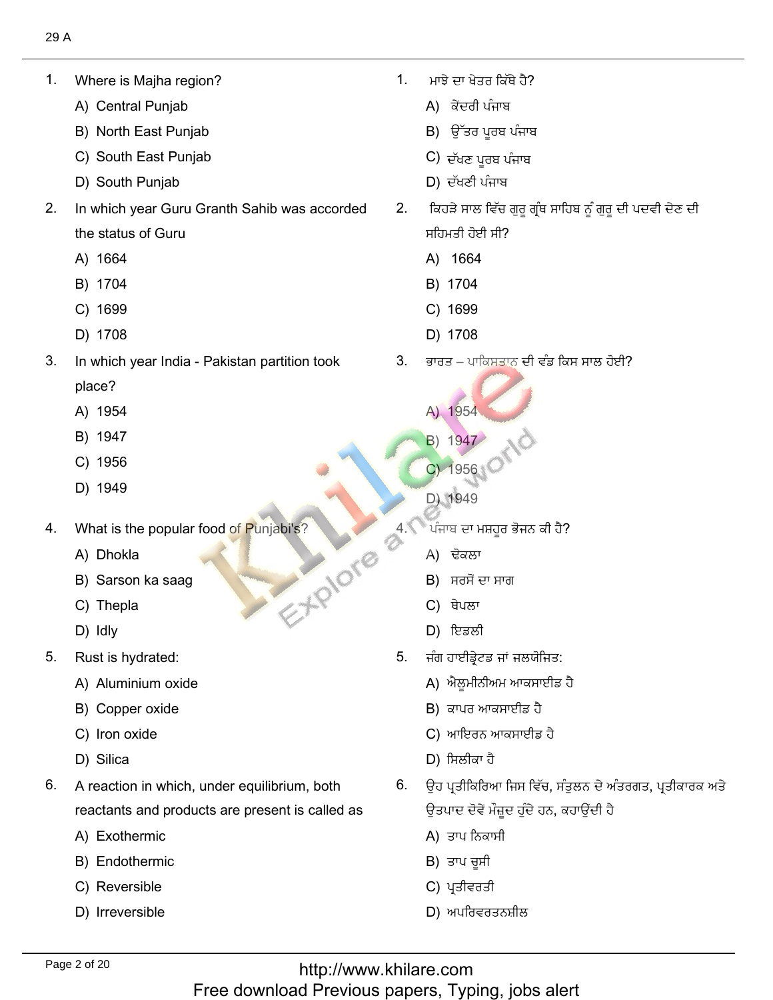1. Where is Majha reg<br>A) Central Puniab

1. Where is Majha region?

- A) Central Punjab
- A) Central Punjab<br>B) North East Punjab<br>C) South East Puniab
- D) South Punjab ف٬ؾرٔل٫طْن 2. In which year Guru Granth Sahib was accorded
	-
- $2.$ In which year Guru Granth Sahib was accorded the status of (<br>A) 1664
	- A) 1664<br>B) 1704
	- B) 1704<br>C) 1699
	- C) 1699<br>D) 1708
	-
- $3.$ In which year India - Pakistan partition took place? place?<br>A) 1954<br>B) 1947
	-
	- B) 1947<br>C) 1956
	- C) 1956<br>D) 1949
	-
- 4. What is the popular food of Punjabi's?<br>A) Dhokla EXPIONE
	- A) Dhokla
	- A) Dhokla<br>B) Sarson ka saag<br>C) Thepla
	- C) Thepla<br>D) Idlv
	- D) Idly
- $5<sub>1</sub>$ Rust is hydrated:
	- Rust is hydrated:<br>A) Aluminium oxide<br>B) Copper oxide
	- B) Copper oxide<br>C) Iron oxide
	- C) Iron oxide<br>D) Silica
	- D) Silica
- 6. A reaction in which, under equilibrium, both reactants and produ<br>A) Exothermic
	- A) Exothermic
	- A) Exothermic<br>B) Endothermic<br>C) Reversible
	- C) Reversible
	- D) Irreversible

ਮਾਂਝੇ ਦਾ ਖੇਤਰ ਕਿੱਥੇ ਹੈ?  $1<sup>1</sup>$ ਮਾਝੇ ਦਾ ਖੇਤਰ ਕਿੱਥੇ ਹੈ?<br>A) ਕੇਂਦਰੀ ਪੰਜਾਬ

?ِٗ٘ـ٬ذٓيؿٗرْفٗظْو 1.

- 
- A) ਕੇਂਦਰੀ ਪੰਜਾਬ<br>B) ਉੱਤਰ ਪੂਰਬ ਪੰਜਾ<br>C) ਦੱਖਣ ਪਰਬ ਪੰਜਾਬ
- C) ਦੱਖਣ ਪੂਰਬ ਪੰਜਾਬ
- $D$ ) ਦੱਖਣੀ ਪੰਜਾਬ
- 2. ਕਿਹੜੇ ਸਾਲ ਵਿੱਚ ਗੁਰੂ ਗ੍ਰੰਥ ਸਾਹਿਬ ਨੂੰ ਗੁਰੂ ਦੀ ਪਦਵੀ ਦੇਣ ਦੀ ਸਹਿਮਤੀ ਹੋਈ ਸੀ?<br>A) 1664
	- A) 1664
	- B) 1704
	- C) 1699
- 3. In which years of the US 201699 (C) 201699 (C) 201699 (C) 201699 (C) 201699 (C) 201699 (C) 201699 (C) 20169 D) 1708
	- ਭਾਰਤ ਪਾਕਿਸਤਾਨ ਦੀ ਵੰਡ ਕਿਸ ਸਾਲ ਹੋਈ?
		- A) 1954
		- A) 1954<br>B) 1947
		- B) 1947<br>C) 1956
	- C) 1956<br>
	D) 1949
- <sup>ੇ</sup>ਪੰਜਾਬ ਦਾ ਮਸ਼ਹੂਰ<br>A) ਢੋਕਲਾ  $\begin{array}{r} \text{1954} \ \text{1947} \ \text{1956} \ \text{1949} \ \text{a} \ \text{a} \ \text{b} \ \text{c} \ \text{d} \ \text{d} \ \text{d} \ \text{d} \ \text{d} \ \text{d} \ \text{e} \ \text{d} \ \text{e} \ \text{e} \ \text{d} \ \text{e} \ \text{e} \ \text{e} \ \text{e} \ \text{f} \ \text{f} \ \text{g} \ \text{g} \ \text{g} \ \text{g} \ \text{g} \ \text{g} \ \text{g} \ \text{g} \ \text$ 
	- A) ਢੋਕਲਾ
	- A) ਢੋਕਲਾ<br>B) ਸਰਸੋਂ ਦਾ ਸਾਰ<br>C) ਥੇਪਲਾ
	- C) ਥੇਪਲਾ
	- C) ਥੇਪਲਾ<br>D) ਇਡਲੀ
		- $5<sub>1</sub>$ ਜੰਗ ਹਾਈਡ੍ਰੇਟਡ ਜਾਂ ਜਲਯੋਜਿਤ:
			- A) ਐਲਮੀਨੀਅਮ ਆਕਸਾਈਡ ਹੈ
			- A) ਐਲੂਮੀਨੀਅਮ ਆਕਸਾਈ<br>B) ਕਾਪਰ ਆਕਸਾਈਡ ਹੈ
			- B) ਕਾਪਰ ਆਕਸਾ<br>C) ਆਇਰਨ ਆਕ<br>D) ਸਿਲੀਕਾ ਹੈ
			- D) ਸਿਲੀਕਾ ਹੈ
		- ਉਹ ਪਤੀਕਿਰਿਆ ਜਿਸ ਵਿੱਚ, ਸੰਤਲਨ ਦੇ ਅ
			- ਉਤਪਾਦ ਦੋਵੇਂ ਮੌਜ਼ੂ<br>A) ਤਾਪ ਨਿਕਾਸੀ A) ਤਾਪ ਨਿਕਾਸੀ<br>B) ਤਾਪ ਚਸੀ
			- B) ਤਾਪ ਚੂਸੀ<br>C) ਪਤੀਵਰਤੀ
			- C) ਪ੍ਰਤੀਵਰਤੀ
			- D) ਅਪਰਿਵਰਤਨਸ਼ੀਲ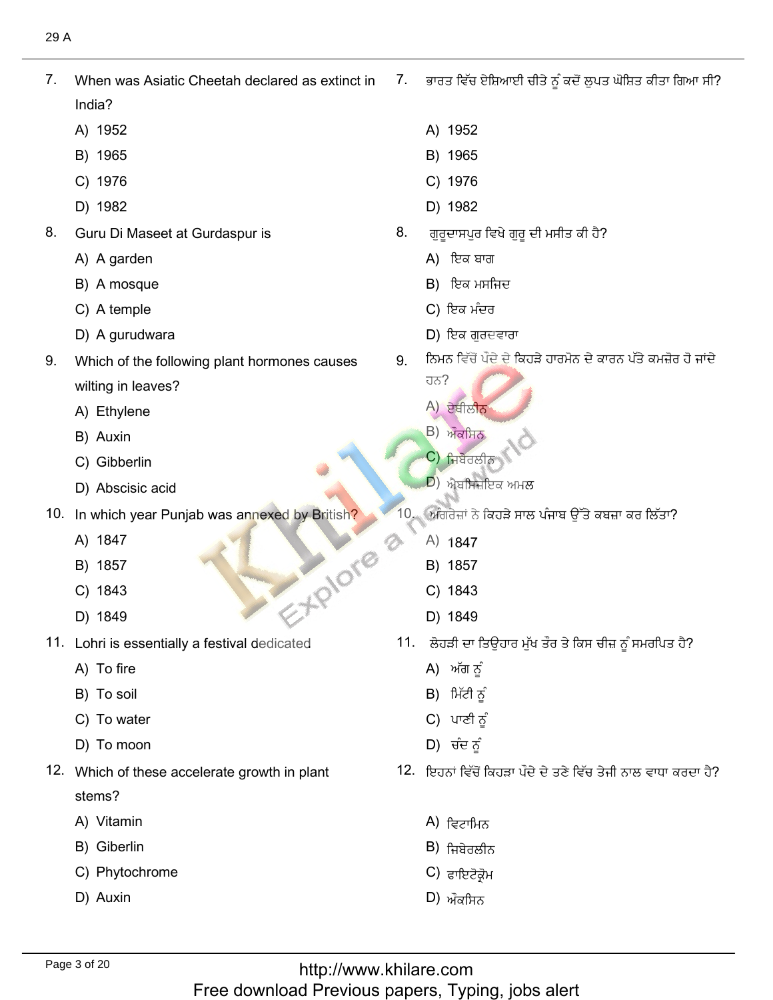$7<sub>1</sub>$ When was Asiatic Cheetah declared as extinct in India? India?<br>A) 1952<br>B) 1965

7. When was Asiatic Cheetah declared as extinct in

- 
- B) 1965<br>C) 1976
- C) 1976<br>D) 1982
- D) 1982
- 8. Guru Di Maseet a<sup>.</sup><br>A) A garden
	- A) A garden
	- A) A garden<br>B) A mosque<br>C) A temple
	- C) A temple
- D) A gurudwara ذبزٕفيٍْيْ 9. Which of the following plant hormones causes
- 9. Which of the following plant hormones causes wilting in leaves?<br>A) Ethvlene
	- A) Ethyle<br>B) Auxin
	- B) Auxin
	- B) Auxin<br>C) Gibberlin
- C) Gibberlin<br>
10. In Abscisic acid<br>
10. In which year Punjab was annexed by British?
- In which)<br>A) 1847
	- A) 1847<br>B) 1857
	- B) 1857<br>C) 1843
	- C) 1843<br>D) 1849
	- 11. 1843<br>D) 1849
- Lohri is essenti<br>A) To fire
	- A) To fire<br>B) To soil
	- B) To soil
	- B) To soil<br>C) To water<br>D) To moon
- ص٫فكٖ٫ 12. Which of these accelerate growth in plant
- 12. Which of these accelerate growth in plant stems? stems?<br>A) Vitamin
	-
	- A) Vitamin<br>B) Giberlin
	- B) Giberlin<br>C) Phytochrome<br>D) Auxin
	-

ਭਾਰਤ ਵਿੱਚ ਏਸ਼ਿਆਈ ਚੀਤੇ ਨੂੰ ਕਦੋਂ ਲੁਪਤ ਘੋਸ਼ਿਤ ਕੀਤਾ ਗਿਆ ਸੀ?  $7.$ 

?ُٔازْٓؿٔذؿَٙٓسؿل ًٕᶦفذٖ٫كٗؿٔصةآَجصٍٓ٬ؿيْه 7.

- <sup>1952</sup> B) <sup>1965</sup>
- B) 1965<br>C) 1976
- C) 1976<br>D) 1982
- D) 1982
- 8. ਗੁਰੂਦਾਸਪੁਰ ਵਿਖੇ<br>A) ਇਕ ਬਾਗ
	- A) ਇਕ ਬਾਗ
	- A) ਇਕ ਬਾਗ<br>B) ਇਕ ਮਸਜਿ<sup>,</sup>
	- C) ਇਕ ਮੰਦਰ
	- D) ਇਕ ਗਰਦਵਾਰਾ
- ਨਿਮਨ ਵਿੱਚੋਂ ਪੌਦੇ ਦੇ ਕਿਹੜੇ ਹਾਰਮੋਨ ਦੇ ਕਾਰਨ ਪੱਤੇ ਕਮਜ਼ੋਰ ਹੋ ਜਾਂਦੇ 9.
	- كًٔٔـجਹਨ?<br>A) ਏਥੀਲੀ<mark>ਨ</mark><br>B) ਔਕਸ਼ਿਨ
	-
	- B) ਔਕਸਿਨ<br>C) ਜ਼ਿਬੇਰਲੀਨ <mark>C</mark>) ਜਿਬੇਰਲੀਨ<br>D) ਐਬਚਿਜ਼ਇਕ ਅਪਲ
	- $\ket{D}$  ਐਬਸਿਜ਼ਇਕ ਅਮਲ
- ਅੰਗਰੇਜ਼ਾਂ ਨੇ ਕਿਹੜੇ ਸਾਲ ਪੰਜਾਬ ਉੱਤੇ ਕਬਜ਼ਾ ਕਰ ਲਿੱਤਾ?
	- ਅਗਰੇਜ਼ਾਂ ਨੇ<br>A) 1847<br>B) 1857
	- B) 1857<br>C) 1843
	-
	- D) 1849
- , ਲੋਹੜੀ ਦਾ ਤਿਉਂਹ<br>A) ਅੱਗ ਨੂੰ
	- A) ਅੱਗ ਨੂੰ<br>B)ੀਮੱਟੀ ਨੂੰ
	- B) ਮਿੱਟੀ ਨੂੰ
	- B) ਮਿੱਟੀ ਨੂੰ<br>C) ਪਾਣੀ ਨੂੰ
	- D) ਚੰਦ ਨੂੰ
- 12. ਇਹਨਾਂ ਵਿੱਚੋਂ ਕਿਹੜਾ ਪੌਦੇ ਦੇ ਤਣੇ ਵਿੱਚ ਤੇਜੀ ਨਾਲ ਵਾਧਾ ਕਰਦਾ ਹੈ?
	- A) ਵਿਟਾਮਿਨ<br>B) ਜ਼ਿਬੇਰਲੀਨ
	- B) ਜਿਬੇਰਲੀਨ<br>C) <sub>ਵਾਇਟੋਕੋਮ</sub>
	- C) ਫਾਇਟੋਕ੍ਰੋਮ<br>D) ਔਕਾਬਿਨ
	-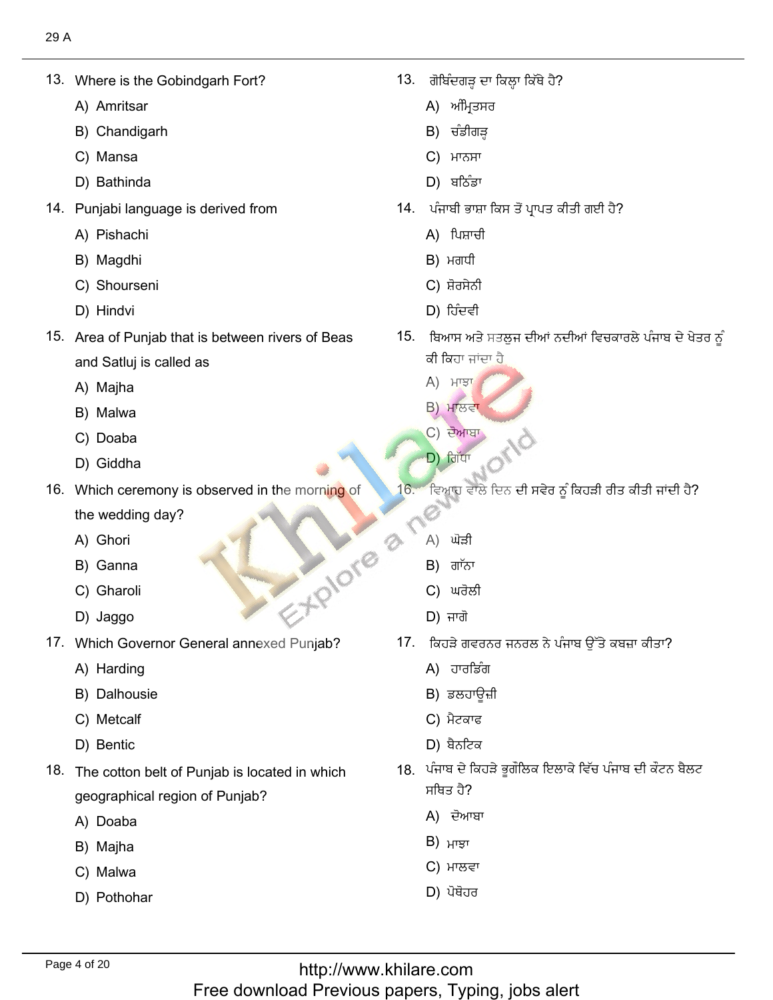Where is the<br>A) Amritsar

13. Where is the Gobindgarh Fort?

- A) Amritsar
- A) Amritsar<br>B) Chandigarh<br>C) Mansa
- C) Mansa
- C) Mansa<br>D) Bathinda
- Punjabi language<br>A) Pishachi
	- A) Pishach<br>B) Magdhi
	- B) Magdhi
- B) Magdhi<br>C) Shourseni<br>D) Hindvi ِٓ٫فٍٔ 15. Area of Punjab that is between rivers of Beas
	-
- 15. Area of Punjab that is between rivers of Beas and Satluj is ca<br>A) Maiha
	- A) Majha<br>B) Malwa
	- B) Malwa B) Malwa<br>C) Doaba
	-
	- D) Giddha
- 16. Which ceremony is observed in the morning of the wedding d<br>A) Ghori
	- A) Ghori
	- A) Ghori<br>B) Ganna de la 17. What Governor General Annexed Punjab.
	- B) Ganna<br>C) Gharoli<br>D) Jaggo
	-
- Which Governor<br>A) Harding
	- A) Harding
	- A) Harding<br>B) Dalhousie<br>C) Metcalf
	- C) Metcalf<br>D) Bentic
- ن٘كٓذغ 18. The cotton belt of Punjab is located in which
- 18. The cotton belt of Punjab is located in which geographical re<br>A) Doaba
	- A) Doaba<br>B) Maiha
	- B) Majha<br>C) Malwa
	- C) Malwa
	- D) Pothohar

ا بن (al<sup>g</sup>eਗੜ੍ਹ ਦਾ ਰਿ<br>A) ਅੰਮਿਤਸਰ

.<br>المسابق المسابق المسابق المسابق المسابق المسابق المسابق المسابق المسابق المسابق المسابق المسابق المسابق المساب

- A) ਅੰਮ੍ਰਿਤਸਰ<br>B) ਚੰਡੀਗੜ
- B) ਚੰਡੀਗੜ੍ਹ<br>C) ਮਾਨਸਾ
- **С**) ਮਾਨਸਾ
- C) ਮਾਨਸਾ<br>D) ਬਠਿੰਡਾ
- <sup>¦</sup>. ਪੰਜਾਬੀ ਭਾਸ਼ਾ ਕਿ<br>A)ੀਪਸ਼ਾਚੀ 13. ਗੋਬਿੰਦਗੜ੍ਹ ਦਾ ਕਿਲ੍ਹਾ ਕਿੱਥੇ ਹੈ?<br>
А) ਅੰਮ੍ਰਿਤਸਰ<br>
В) ਚੰਡੀਗੜ੍ਹ<br>
С) ਮਾਨਸਾ<br>
D) ਬਠਿੰਡਾ<br>14. ਪੰਜਾਬੀ ਭਾਸ਼ਾ ਕਿਸ ਤੋਂ ਪ੍ਰਾਪਤ ਕੀਤੀ ਗਈ ਹੈ?<br>
A) ਪਿਸ਼ਾਚੀ<br>
В) ਮਗਧੀ<br>
С) ਸ਼ੋਰਸੇਨੀ<br>
D) ਹਿੰਦਵੀ
	-
	- A) ਪਿਸ਼ਾਚ<br>B) ਮਗਧੀ
	- B) ਮਗਧੀ<br>C) ਸ਼ੋਰਸੇਨੀ
	-
	- ,<br>ਅਖ਼ਾਸ ਅਤੇ ਸਤ <mark>ਕੀ ਕਿ</mark>ਹਾ ਜਾਂਦਾ ਹੈ<br>A) ਮਾਝਾ
		- **A) ਮਾਝਾ**
		- $B)$  ਮਾਲਵਾ
		- C) ਦੋਆਬਾ
- ٓز٬قْ 16. Which ceremony is observed in the morning of  $\mathcal{L}$ 
	- $16.$ ਵਿਆਹ ਵਾਲੇ ਦਿਨ ਦੀ ਸਵੇਰ ਨੂੰ ਕਿਹੜੀ ਰੀਤ ਕੀਤੀ ਜਾਂਦੀ ਹੈ?
		- Ø<br>A) ਘੋੜੀ
		- A) ਘੋੜੀ<br>B) ਗਾੱਨਾ
		- B) ਗਾੱਨਾ<br>C) ਘਰੋਲੀ
		- $D$ ) ਜਾਗੋ
	- '. ਕਿਹੜੇ ਗਵਰਨਰ<br>A) ਹਾਰਡਿੰਗ
		- A) ਹਾਰਡਿੰਗ
		- A) ਹਾਰਡਿੰਗ<br>B) ਡਲਹਾਉਜ਼ੀ B) ਡਲਹਾਊ<br>C) ਮੈਟਕਾਫ
		-
		- $D$ ) ਬੈਨਟਿਕ
	- , ਪੰਜਾਬ ਦੇ ਕਿ ਸਥਿਤ ਹੈ? ਸਥਿਤ ਹੈ?<br>A) ਦੋਆਬਾ<br>B) ਮਾੜਾ
		-
		-
		- C) ਮਾਲਵਾ B) ਮਾਝਾ<br>C) ਮਾਲਵਾ<br>D) ਪੋਥੋਹਰ
		-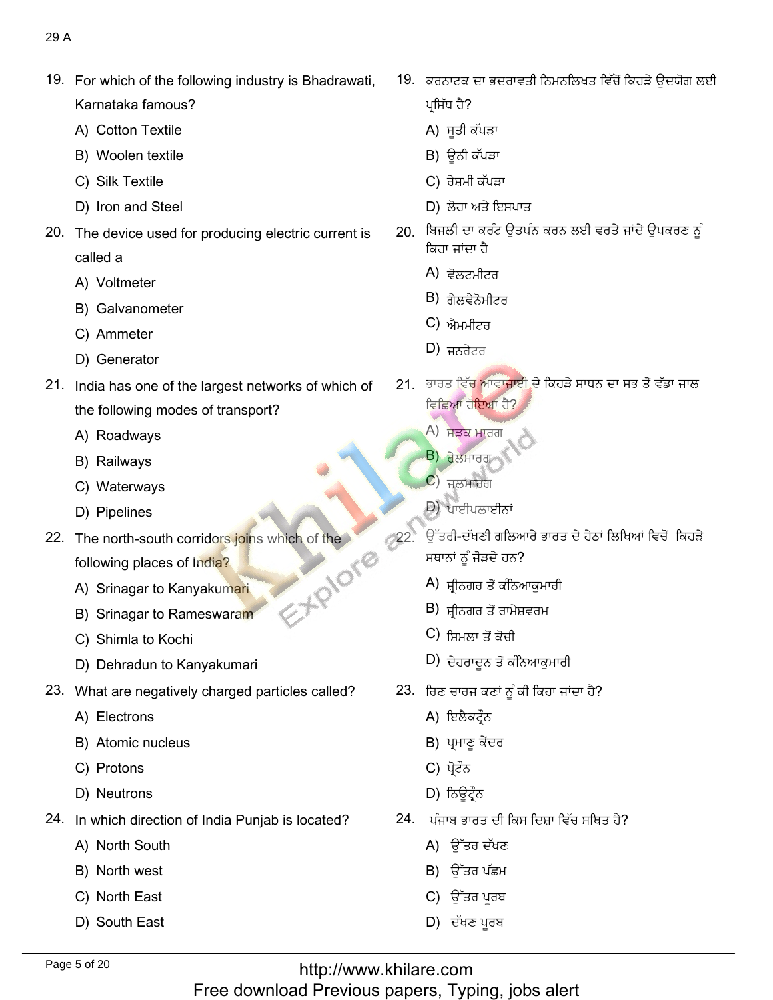19. For which of the following industry is Bhadrawati,

19. For which of the following industry is Bhadrawati,

- Karnataka famous?<br>A) Cotton Textile A) Cotton Textile
- A) Cotton Textile<br>B) Woolen textile<br>C) Silk Textile
- C) Silk Textile
- C) Silk Textile<br>D) Iron and Steel
- 20. The device used for producing electric current is called a called a<br>A) Voltmeter
	-
	- A) Voltmeter<br>B) Galvanometer<br>C) Ammeter
	- C) Ammeter<br>D) Generator
	- D) Generator
- 21. India has one of the largest networks of which of the following mode:<br>A) Roadwavs
	- A) Roadways<br>B) Railwavs
	- B) Railways
	- B) Railways<br>C) Waterways<br>D) Pipelines
	- D) Pipelines
- **IFPIOTE** 22. The north-south corridors joins which of the following places of Indi<mark>a?</mark><br>A) Srinagar to Kanyakumari
	- A) Srinagar to Kanyakum<mark>ari</mark><br>B) Srinagar to Rameswaram
	- B) Srinagar to Rameswa<br>C) Shimla to Kochi
	- C) Shimla to Kochi
- C) Shimla to Kochi<br>D) Dehradun to Kanyakumari
- What are negative<br>A) Electrons
	- A) Electrons
	- A) Electrons<br>B) Atomic nucleus<br>C) Protons
	- C) Protons
- C) Protons<br>D) Neutrons
- In which direction of<br>A) North South
	- A) North South<br>B) North west
	- B) North west<br>C) North East
	- C) North East<br>D) South East
	-

 زٙىفتِٟٗذٓᶦصٍٓ٬ؿرًٓكوكٓ ٔؿٍْيفه ْف ذغْكيذ 19. ?ِ٘ قُٓ٬ᴆل ْٟل٬ذ

ਲਈ

- 
- ਪ੍ਰਸਿੱਧ ਹੈ?<br>A) ਸੂਤੀ ਕੱਪੜਾ<br>B) ਉਨੀ ਕੱਪੜਾ
- $B$ ) ਉਨੀ ਕੱਪੜਾ B) ਊਨੀ ਕੱਪੜਾ<br>C) ਰੇਸ਼ਮੀ ਕੱਪੜਾ
- 
- C) ਰੇਸ਼ਮੀ ਕੱਪੜਾ<br>D) ਲੋਹਾ ਅਤੇ ਇਸਪਾਤ
	- 20. ਬਿਜਲੀ ਦਾ ਕਰੰਟ ਉਤਪੰਨ ਕਰਨ ਲਈ ਵਰਤੇ ਜਾਂਦੇ ਉਪਕਰਣ ਨੂੰ ਕਿਹਾ ਜਾਂਦਾ ਹੈ ਕਿਹਾ ਜਾਂਦਾ ਹੈ<br>A) ਵੋਲਟਮੀਟਰ<br>B) <del>ਗੈਲਟੈਨੋਪੀਟਰ</del>
		-
		- B) ਗੈਲਵੈਨੋਮੀਟਰ<br>C) ਐਪਪੀਟਰ
		- C) ਐਮਮੀਟਰ<br>D) ਜਨਰੇਟਰ
- $\mathcal{L}$ / HOOCO
	- 21. ਭਾਰਤ ਵਿੱਚ ਆਵਾਜਾਈ ਦੇ ਕਿਹੜੇ ਸਾਧਨ ਦਾ ਸਭ ਤੋਂ ਵੱਡਾ ਜਾਲ ਵਿਛਿਆ ਹੋਇਆ।<br>A) ਸਤਕ ਮਾਰਗ
		- A) <mark>ਸੜਕ ਮਾਰਗ</mark><br>B) ਰੇਲਮਾਰਗ
		- <mark>B) ਰ</mark>ੇਲਮਾਰਗ<br>C) ਜਲਮਾਰਗ
		- $\mathbf{C})$  <sub>H</sub>  $\beta$  H  $\beta$  and  $\beta$
- (C) ਜਲਮਾਰਗ<br>
D) ਪਾਈਪਲਾਈਨਾਂ
- 22. .<br>ਉੱਤਰੀ-ਦੱਖਣੀ ਗਲਿਆਰੇ ਭਾਰਤ ਦੇ ਹੇਠਾਂ ਲਿਖਿਆਂ ਵਿਚੋਂ ਕਿਹੜੇ ਸਥਾਨਾਂ ਨੂੰ ਜੋੜਦੇ ਹਨ?<br>A) ਸੀਨਗਰ ਤੋਂ ਕੰਨਿਆਕਮਾਰੀ
	- A) ਸ਼੍ਰੀਨਗਰ ਤੋਂ ਕੰਨਿਆਕੁਮ<br>B) ਬੀਨਗਰ ਤੋਂ ਰਾਮੇਸ਼ਵਰਮ
	- B) ਸ਼੍ਰੀਨਗਰ ਤੋਂ ਰਾਮੇ<br>C) <del>ਪ</del>ਿਪਲਾ ਤੋਂ ਕੋਜ਼ੀ
	-
	- C) ਸ਼ਿਮਲਾ ਤੋਂ ਕੋਚੀ<br>D) ਦੇਹਰਾਦਨ ਤੋਂ ਕੰਨਿਆਕਮਾਰੀ  $D$ ) ਦੇਹਰਾਦੁਨ ਤੋਂ ਕੰਨਿਆਕੁਮਾਰੀ
	- اخة , ਰਿਣ ਚਾਰਜ ਕਣਾਂ<br>A) ਇਲੈਕਟੌਨ
		- A) ਇਲੈਕਟੌਨ
		- A) ਇਲੈਕਟ੍ਰੌਨ<br>B) ਪ੍ਰਮਾਣੂ ਕੇਂਦਰ<br>C) ਪੋਟੌਨ
		- C) ਪ੍ਰੋਟੌਨ
- C) ਪ੍ਰੋਟੌਨ<br>D) ਨਿਉਟ੍ਰੌਨ
	- <sup>¦</sup>. ਪੰਜਾਬ ਭਾਰਤ ਦੀ <sup>.</sup>
		- ਪੰਜਾਬ ਭਾਰਤ ਦੀ<br>A) ਉੱਤਰ ਦੱਖਣ<br>B) ਉੱਤਰ ਪੱਛਮ
		- B) ਉੱਤਰ ਪੱਛਮ<br>C) ਉੱਤਰ ਪਰਬ
		- C) ਉੱਤਰ ਪੂਰਬ<br>D) ਦੱਖਣ ਪਰਬ
		-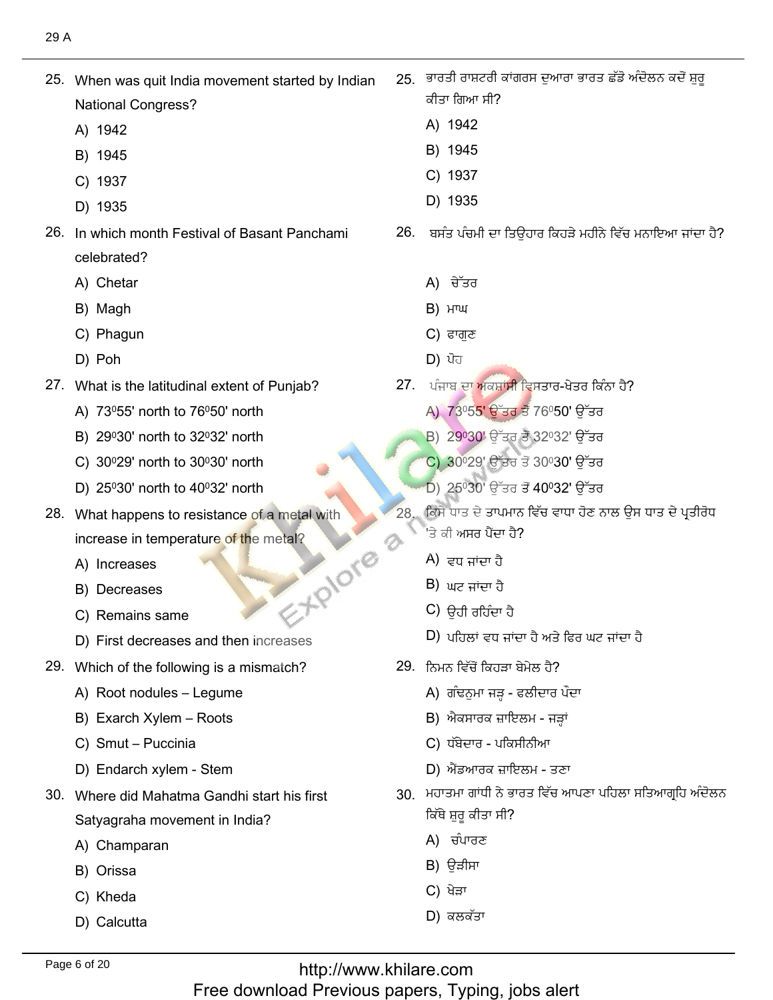- 25. When was quit India movement started by Indian **National Congress?** 
	- A) 1942
	- B) 1945
	- C) 1937
	- D) 1935
- 26. In which month Festival of Basant Panchami celebrated?
	- A) Chetar
	- B) Magh
	- C) Phagun
	- D) Poh
- 27. What is the latitudinal extent of Punjab?
	- A) 73°55' north to 76°50' north
	- B) 29030' north to 32032' north
	- C) 30°29' north to 30°30' north
	- D) 25030' north to 40032' north
- 28. What happens to resistance of a metal with increase in temperature of the metal? EXPIONE
	- A) Increases
	- B) Decreases
	- C) Remains same
	- D) First decreases and then increases
- 29. Which of the following is a mismatch?
	- A) Root nodules Legume
	- B) Exarch Xylem Roots
	- C) Smut Puccinia
	- D) Endarch xylem Stem
- 30. Where did Mahatma Gandhi start his first Satyagraha movement in India?
	- A) Champaran
	- B) Orissa
	- C) Kheda
	- D) Calcutta
- 25 ਭਾਰਤੀ ਰਾਸ਼ਟਰੀ ਕਾਂਗਰਸ ਦੁਆਰਾ ਭਾਰਤ ਛੱਡੋ ਅੰਦੋਲਨ ਕਦੋਂ ਸ਼ਰ ਕੀਤਾ ਗਿਆ ਸੀ?
	- A) 1942
	- B) 1945
	- C) 1937
	- D) 1935
- 26. ਬਸੰਤ ਪੰਚਮੀ ਦਾ ਤਿਉਹਾਰ ਕਿਹੜੇ ਮਹੀਨੇ ਵਿੱਚ ਮਨਾਇਆ ਜਾਂਦਾ ਹੈ?
	- A) ਚੇੱਤਰ
	- **В) нтш**
	- C) ਫਾਗਣ
	- $D)$  ਪੋਹ
- 27. ਪੰਜਾਬ ਦਾ ਅਕਸ਼ਾਂ<mark>ਸੀ</mark> ਵਿਸਤਾਰ-ਖੇਤਰ ਕਿੰਨਾ ਹੈ?
	- A) 73º55' ਉੱਤਰ ਤੋਂ 76º50' ਉੱਤਰ
	- B) 29°30' ਉੱਤਰ ਤੋਂ 32°32' ਉੱਤਰ
	- C) 30<sup>0</sup>29' ਉੱਤਰ ਤੋਂ 30030' ਉੱਤਰ
	- D) 25º30' ਉੱਤਰ ਤੋਂ 40º32' ਉੱਤਰ
- ਕਿਸੇ ਧਾਤ ਦੇ ਤਾਪਮਾਨ ਵਿੱਚ ਵਾਧਾ ਹੋਣ ਨਾਲ ਉਸ ਧਾਤ ਦੇ ਪ੍ਰਤੀਰੋਧ <sup>'</sup>ਤੇ ਕੀ ਅਸਰ ਪੈਂਦਾ ਹੈ?
	- A) ਵਧ ਜਾਂਦਾ ਹੈ
	- $B)$  ਘਟ ਜਾਂਦਾ ਹੈ
	- C) ਉਹੀ ਰਹਿੰਦਾ ਹੈ
	- $D$ ) ਪਹਿਲਾਂ ਵਧ ਜਾਂਦਾ ਹੈ ਅਤੇ ਫਿਰ ਘਟ ਜਾਂਦਾ ਹੈ
- 29. ਨਿਮਨ ਵਿੱਚੋਂ ਕਿਹੜਾ ਬੇਮੇਲ ਹੈ?
	- A) ਗੰਢਨੁਮਾ ਜੜ੍ਹ ਫਲੀਦਾਰ ਪੌਦਾ
	- B) ਐਕਸਾਰਕ ਜ਼ਾਇਲਮ ਜੜ੍ਹਾਂ
	- C) ਧੱਬੇਦਾਰ ਪਕਿਸੀਨੀਆ
	- D) ਐਂਡਆਰਕ ਜ਼ਾਇਲਮ ਤਣਾ
- 30. ਮਹਾਤਮਾ ਗਾਂਧੀ ਨੇ ਭਾਰਤ ਵਿੱਚ ਆਪਣਾ ਪਹਿਲਾ ਸਤਿਆਗ੍ਰਹਿ ਅੰਦੋਲਨ ਕਿੱਥੇ ਸ਼ਰ ਕੀਤਾ ਸੀ?
	- A) ਚੰਪਾਰਣ
	- B) ਉੜੀਸਾ
	- C) ਖੇੜਾ
	- $D$ ) ਕਲਕੱਤਾ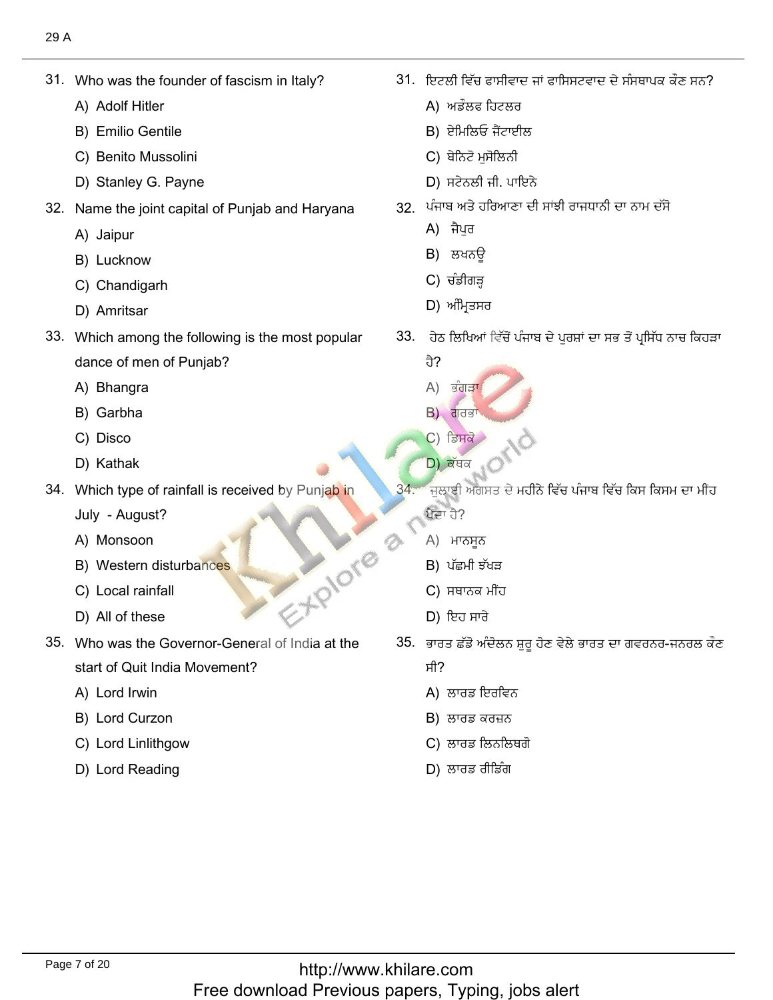Who was the fo<br>A) Adolf Hitler

31. Who was the founder of fascism in Italy?

- A) Adolf Hitler
- A) Adolf Hitler<br>B) Emilio Gentile
- B) Emilio Gentile<br>C) Benito Mussolini<br>D) Stanlev G. Pavne
- D) Stanley G. Payne
- Name the joint<br>A) Jaipur
	- A) Jaipur
	- A) Jaipur<br>B) Lucknow
- B) Lucknow<br>C) Chandigarh<br>D) Amritsar ئ٫ٓوᴆؿُي 33. Which among the following is the most popular
	-
- 33. Which among the following is the most popular dance of men of I<br>A) Bhangra
	- A) Bhangra<br>B) Garbha
	- B) Garbha<br>C) Disco
	- C) Disco
- D) Kathak C) Disco<br>D) Kathak<br>D) ਕੱਥਕ
- 34. Which type of rainfall is received by Punjab in
	- July August?<br>A) Monsoon
	- A) Monsoon
	- A) Monsoon<br>B) Western disturbances<br>C) Local rainfall <sub>–</sub>, <sub>–</sub>ocal rainfall<br>
	D) All of these (D) All of these (D) Box was discrete (D) ਇਹ ਸਾਰੇ
	- C) Local rainfa<br>D) All of these
	-
- 35. Who was the Governor-General of India at the start of Quit India M<br>A) Lord Irwin
	- A) Lord Irwin
	- A) Lord Irwin<br>B) Lord Curzon
	- B) Lord Curzon<br>C) Lord Linlithgow<br>D) Lord Reading
	-

. ਇਟਲੀ ਵਿੱਚ ਫਾਸੀਵਾ ਇਟਲੀ ਵਿੱਚ ਫਾਸੀਵਾਦ<br>A) ਅਡੌਲਫ ਹਿਟਲਰ

?كُؾٚذذلْـُٗ٫ُففٍْغُُْٓمإْطفٍُْْٔمصًٍٔٓ٬غب 31.

- 
- A) ਅਡੌਲਫ ਹਿਟਲਫ<br>B) ਏਮਿਲਿਓ ਜੈਂਟਾਈ B) ਏਮਿਲਿਓ ਜੈਂਟਾਈਲ<br>C) ਬੇਨਿਟੋ ਮੁਸੋਲਿਨੀ
- 
- C) ਬੇਨਿਟੋ ਮੁਸੋਲਿਨੀ<br>D) ਸਟੇਨਲੀ ਜੀ. ਪਾਇਨੇ
	- ਪੰਜਾਬ ਅਤੇ ਹਰ<mark>ਿ</mark>ਆ<br>A) ਜੈਪਰ
		- A) ਜੈਪਰ
		- A) ਜੈਪੁਰ<br>B) ਲਖਨੳ
		- C) ਚੰਡੀਗੜ੍ਹ
		-
- ر**ا**<br>33. ਹੇਠ ਲਿਖਿਆਂ ਵਿੱਚੋਂ ਪੰਜਾਬ ਦੇ ਪਰਸ਼ਾਂ ਦਾ ਸਭ ਤੋਂ ਪ੍ਰਸਿੱਧ ਨਾਚ ਕਿਹੜਾ
	-
	- ਹੈ?<br>A) ਭੰਗੜਾ A) ਭੰਗੜਾ<br>B) ਗਰਭਾ
	-
	- C) ਡਿਸਕੋ
	- D) ਕੱਥਕ
	- $34.$ ਜਲਾਈ ਅਗਸਤ ਦੇ ਮਹੀਨੇ ਵਿੱਚ ਪੰਜਾਬ ਵਿੱਚ ਕਿਸ ਕਿਸਮ ਦਾ ਮੀਂਹ ਪੈਂਦਾ ਹੈ?
		- ਪੈਂਦਾ ਹੈ?<br>A) ਮਾਨਸੁਨ
		- $B$ ) ਪੱਛਮੀ ਝੱਖੜ
		- C) ਸਥਾਨਕ ਮੀਂਹ
		-
- D) ਇਹ ਸਾਰੇ<br>35. ਭਾਰਤ ਛੱਡੋ ਅੰਦੋਲਨ ਸ਼ਰ ਹੋਣ ਵੇਲੇ ਭਾਰਤ ਦਾ ਗਵਰਨਰ-ਜਨਰਲ ਕੌਣ
	-
	- ਸੀ?<br>A) ਲਾਰਡ ਇਰਵਿ<br>B) ਲਾਰਡ ਕਰਜ਼ਨ
	- $B$ ) ਲਾਰਡ ਕਰਜ਼ਨ
	- B) ਲਾਰਡ ਕਰਜ਼ਨ<br>C) ਲਾਰਡ ਲਿਨਲਿ
	- D) ਲਾਰਡ ਰੀਡਿੰਗ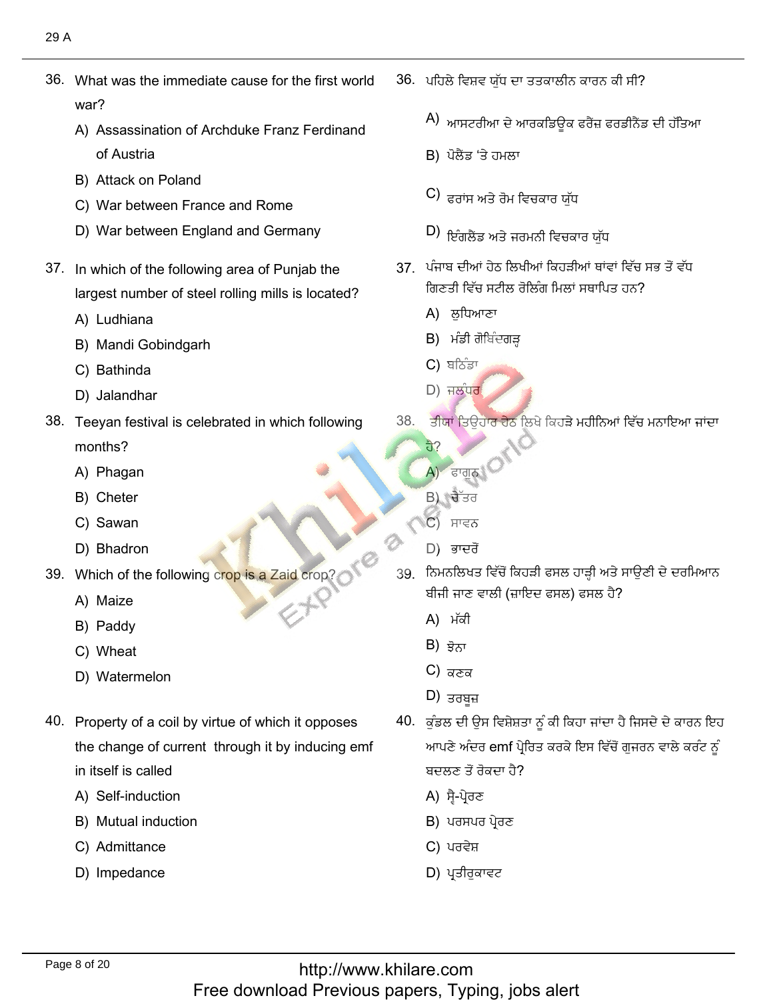36. What was the immediate cause for the first world war? ?<br>Assassination of Archduke Franz Ferdinand

36. What was the immediate cause for the first world

- of Austria<br>B) Attack on Poland
- 
- B) Attack on Poland<br>C) War between France and Rome War between France and Rome<br>War between England and Germanv
- $\frac{3}{2}$ , i.e. which of the following area of Punjab the following
- 37. In which of the following area of Punjab the largest number of<br>A) Ludhiana
	- A) Ludhiana
	- A) Ludhiana<br>B) Mandi Gobindgarh<br>C) Bathinda
	- C) Bathinda<br>D) Jalandhar
- طً٫يق 38. Teeyan festival is celebrated in which following
- 38. Teeyan festival is celebrated in which following months? months?<br>A) Phagan<br>B) Cheter
	-
	- B) Cheter B) Cheter<br>C) Sawan
	-
- C) Sawan<br>
D) Bhadron
- Which of the following crop is a Zaid crop?<br>
A) Maize<br>
B) Paddy
	-
	- B) Paddy
	- B) Paddy<br>C) Wheat
	- D) Watermelon
- 40. Property of a coil by virtue of which it opposes the change of current through it by inducing emf in itself is called in itself is called<br>A) Self-induction
	-
	- A) Self-induction<br>B) Mutual induction<br>C) Admittance
	- C) Admittance<br>D) Impedance
	-

Ξ

ُّهُ٬ في اللهُ عَنْدُ اللَّهُ عَنْدُ اللَّهُ عَنْدُ اللَّهُ عَنْدَ اللَّهُ عَنْدَ اللَّهُ عَنْدَ اللَّهُ٬ فَقُ

- $\overline{A}$ )  $\overline{A}$  $\mu$ ای اس $\epsilon$ ال
- B) ਪੋਲੈਂਡ 'ਤੇ ਹਮਲਾ
- $\bigcirc$ ) ਫਰਾਂਸ ਅਤੇ ਰੋਮ ਵਿਚਕਾਰ ਯੱਧ قِ الْمَرْكُويُّةِ بِيْنَ بِيْنَ بِيْنَ بِيْنَ بِيْنَ بِيْنَ بِيْنَ بِيْنَ بِيَانِ بِيْنَ بِيْنَ بِيْنَ بِيْنَ
- (D ី<sup></sup>'। ਇਗਲੰਡ ਅਤੇ ਜਰਮਨੀ ਵਿਚਕਾਰ ਯੁਧ
	- <u>37 ਪੰਜਾਬ ਦੀਆਂ ਹੇਠ ਲਿਖੀਆਂ ਕਿਹੜੀਆਂ ਥਾਂਵਾਂ ਵਿੱਚ ਸਭ ਤੋਂ ਵੱਧ</u> ਗਿਣਤੀ ਵਿੱਚ ਸਟੀਲ ਰੋਲਿੰਗ ਮਿਲਾਂ ਸਥਾਪਿਤ ਹਨ?
		-
		- ਗਿਣਤੀ ਵਿੱਚ ਸਟੀਲ<sup>਼</sup><br>A) ਲੁਧਿਆਣਾ<br>B) ਮੰਡੀ ਗੋਬਿੰਦਗੜ B) ਮੰਡੀ ਗੋ<br>C) ਬਠਿੰਡਾ
		-
- الْكَ الْكَرْسِيُّ مِنْ عَامَلِ مِنْ عَامَلِ مِنْ كَانَ مِنْ عَامَلِ مِنْ عَامَلِ مِنْ كَانَ مِنْ مَنْ عَامَلِ<br>وَاسْتَقِبْتُ مِنْ الْكَانَ مِنْ الْكَانَ مِنْ الْكَانَ مِنْ الْكَانَ مِنْ الْكَانَ مِنْ الْكَانَ مِنْ الْكَان
	- 38. ਤੀਯਾਂ ਤਿਉਹਾਰ ਹੇਠ ਲਿਖੇ ਕਿਹੜੇ ਮਹੀਨਿਆਂ ਵਿੱਚ ਮਨਾਇਆ ਜਾਂਦਾ
		- كٕزْمਹੈ?<br>A) ਫਾਗੁਨ<sup>੍ਹ</sup>ਿ <mark>A</mark>) ਫਾਗੂਨ।<br>B) ਚੈੱਤਰ
		-
		- B) ਚੈੱਤਰ<br>C) ਸਾਵਨ<br>D) ਭਾਦਰੋਂ
		- D) ਭਾਦਰੋਂ
	- 39. ਨਿਮਨਲਿਖਤ ਵਿੱਚੋਂ ਕਿਹੜੀ ਫਸਲ ਹਾੜ੍ਹੀ ਅਤੇ ਸਾਉਣੀ ਦੇ ਦਰਮਿਆਨ ਬੀਜੀ ਜਾਣ ਵਾਲੀ<br>A)ਾਮੱਕੀ
		- A) ਮੱਕੀ<br>B) <del>ਝੋਨ</del>ਾ
		- $B$ ) ਭੋਨਾ
		- B) ਝੋਨਾ<br>C) ਕਣਕ<br>D) ਤਰਬ**ਤ**
		-
- D) ਤਰਬੂਜ਼<br>40. ਕੰਡਲ ਦੀ ੳਸ ਵਿਸ਼ੇਸ਼ਤਾ ਨੰ ਕੀ ਕਿਹਾ ਜਾਂਦਾ ਹੈ ਜਿਸਦੇ ਦੇ ਕਾਰਨ ਇਹ ਕੁੰਡਲ ਦੀ ਉਸ ਵਿਸ਼ੇਸ਼ਤਾ ਨੂੰ ਕੀ ਕਿਹਾ ਜਾਂਦਾ ਹੈ ਜਿਸਦੇ ਦੇ ਕਾਰਨ ਇਹ<br>ਆਪਣੇ ਅੰਦਰ emf ਪ੍ਰੇਰਿਤ ਕਰਕੇ ਇਸ ਵਿੱਚੋਂ ਗੁਜਰਨ ਵਾਲੇ ਕਰੰਟ ਨੂੰ<br>ਬਦਲਣ ਤੋਂ ਰੋਕਦਾ ਹੈ? ਬਦਲਣ ਤੋਂ ਰੋਕਦਾ ਹੈ?<br>A) ਸੈ-ਪੇਰਣ
	- A) ਸ੍ਰੈ-ਪ੍ਰੇਰਣ
	- A) ਸ੍ਵੈ-ਪ੍ਰੇਰਣ<br>B) ਪਰਸਪਰ ਪ੍ਰੇਰਣ<br>C) ਪਰਵੇਸ਼
	- C) ਪਰਵੇਸ਼
	- D) ਪ੍ਰਤੀਰੁਕਾਵਟ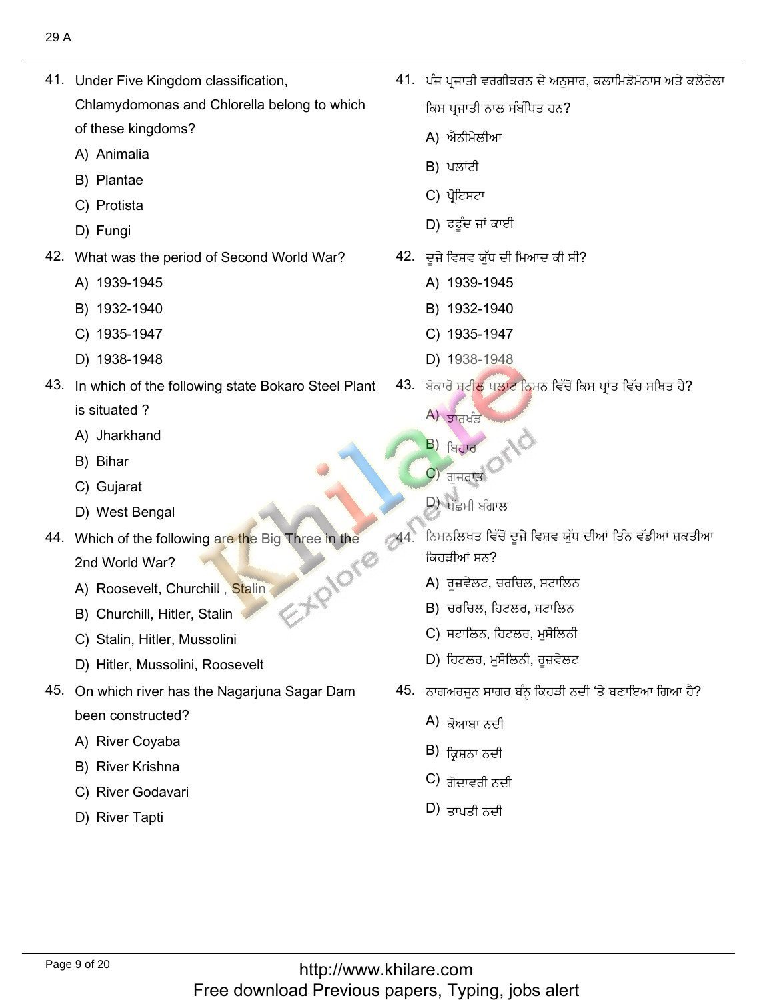41. Under Five Kingdom classification,

41. Under Five Kingdom classification,

Chlamydomonas and Chlorella belong to which

- of these kingdom<br>A) Animalia A) Animalia<br>B) Plantae
- 
- B) Plantae<br>C) Protista C) Protista<br>D) Fungi
- D) Fungi
- What was the perio<br>A) 1939-1945
	- A) 1939-1945<br>B) 1932-1940
	- B) 1932-1940<br>C) 1935-1947
	- C) 1935-1947<br>D) 1938-1948
	- D) 1938-1948
- 43. In which of the following state Bokaro Steel Plant is situated? is situated ?<br>A) Jharkhand<br>B) Bihar
	-
	- B) Bihar
	- B) Bihar<br>C) Gujarat
- C) Gujarat<br>
44. Which of the following are the following are the following are the following are the following are the following are the following are the following are the following are the following are the following are
- 44. Which of the following are the Big Three in the 2nd World War? S-FRIOTE
	- 2nd World War?<br>A) Roosevelt, Churchill , Stalin<br>B) Churchill, Hitler, Stalin
	- B) Churchill, Hitler, Stalin<br>C) Stalin. Hitler. Mussolini
	- C) Stalin, Hitler, Mussolini
- C) Stalin, Hitler, Mussolini<br>D) Hitler, Mussolini, Roosevelt
- 45. On which river has the Nagarjuna Sagar Dam been constructed?<br>A) River Covaba
	- A) River Coyaba<br>B) River Krishna
	- B) River Krishna
	- B) River Krishna<br>C) River Godavari<br>D) River Tapti
	-

ُْكٙوٙؼوًْٓذ ,يُْٕكئٗفكيذٔزئٍؿْطᴆلط٫ل 41. ?ਹਨ ؿق٫ٓنُ٫ ًْك ٔؿْطᴆل ُذٓ

ٍّيُّ أَيُّ أَيُّ مِنْ الْمُسْتَخِبِينَ بِهِ مِنْ الْمُسْتَخِبِينَ بِهِ مِنْ الْمُسْتَخِبِينَ بِهِ م

ਕਿਸ ਪ੍ਰਜਾਤੀ ਨਾਲ ਸੰਬੰਧਿਤ ਹਨ?

- ਕਿਸ ਪ੍ਰਜਾਤੀ ਨਾਲ<br>A) ਐਨੀਮੇਲੀਆ<br>B) ਪਲਾਂਟੀ
- B) ਪਲਾਂਟੀ
- в) ਪਲਾਟੀ<br>С) ਪ੍ਰੋਟਿਸਟਾ
- C) ਪ੍ਰੀਟਸਟਾ<br>D) ਫਫੂੰਦ ਜਾਂ ਕਾਈ
	- ?. ਦੂਜੇ ਵਿਸ਼ਵ ਯੁੱਧ ਦੀ ਮਿਆਦ<br> A) 1939-1945
		- A) 1939-1945<br>B) 1932-1940
		- B) 1932-1940<br>C) 1935-1947
		- C) 1935-1947<br>D) 1938-1948
		- D) 1938-1948
	- رية ਬਕਾਰ ਸਟੀਲ ਪਲ<br>A) ਲਾਜ਼ਮੰਤ
		-
		- A) ਡਾਰਖੰਡ<br>B) ਖ਼ਿਹਾਰ B) <sub>ਬਿਹਾਰ</sub>
		- ь) <sub>ਬਿਹਾਰ</sub><br>C) <sub>ਗੁਜਰਾਤ</sub>

. . .

- D) ਪੁੱਛਮੀ ਬੰਗਾ<mark>ਲ</mark>
- ਪਤਮਾ ਬਗਾਲ<br>, ਪਰ ਪ੍ਰਤਿਸ਼ਨਲਿਖਤ ਵਿੱਚੋਂ ਦੂਜੇ ਵਿਸ਼ਵ ਯੱਧ ਦੀਆਂ :<br>, ਪਰ ਪ੍ਰਤਿਸ਼ਨਲਿਖਤ ਵਿੱਚੋਂ ਦੂਜੇ ਵਿਸ਼ਵ ਯੱਧ ਦੀਆਂ : ੜੀਆਂ ਸਨ?
	- ਕਿਹੜੀਆਂ ਸਨ?<br>A) ਰੂਜ਼ਵੇਲਟ, ਚਰਚਿਲ, ਸਟਾਲਿਨ<br>B) ਚਰਚਿਲ. ਹਿਟਲਰ. ਸਟਾਲਿਨ
	- B) ਚਰਚਿਲ, ਹਿਟਲਰ, ਸਟਾਲਿਨ<br>C) ਸਟਾਲਿਨ. ਹਿਟਲਰ. ਮਸੋਲਿਨੀ
	- C) ਸਟਾਲਿਨ, ਹਿਟਲਰ, ਮੁਸੋਲਿਨੀ<br>D) ਹਿਟਲਰ. ਮਸੋਲਿਨੀ. ਰਜ਼ਵੇਲਟ
	- D) ਹਿਟਲਰ, ਮੁਸੋਲਿਨੀ, ਰੁਜ਼ਵੇਲਟ
	- יה סיסו**י**וסיה יי
		- ਨਾਗਅਰਜੁਨ ਸਾਗ<br>A) ਕੋਆਬਾ ਨਦੀ
		- A) ਕੋਆਬਾ ਨਦੀ<br>B) ਕ੍ਰਿਸ਼ਨਾ ਨਦੀ
		- B) ਕ੍ਰਿਸ਼ਨਾ ਨਦੀ<br>C) ਗੋਦਾਵਰੀ ਨਦੀ<br>D) ਤਾਮਾੜੀ ਨਦੀ
		-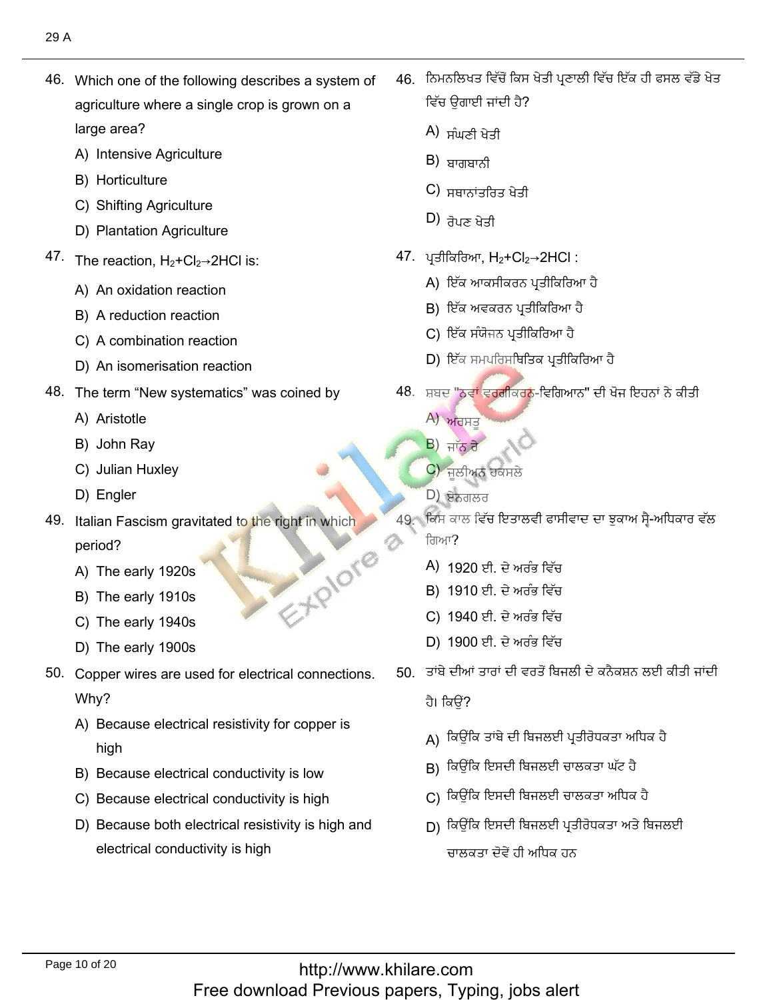46. Which one of the following describes a system of agriculture where a single crop is grown on a large area? large area?<br>A) Intensive Agriculture<br>B) Horticulture

 $\mathcal{A}(\mathcal{A})$  which one of the following describes a system of the following describes a system of

- 
- B) Horticulture
- B) Horticulture<br>C) Shifting Agriculture
- C) Shifting Agriculture<br>
D) Plantation Agriculture<br>
--
- The reaction, H<sub>2</sub>+Cl<sub>2</sub>→2HCl is:<br>A) An oxidation reaction
	- A) An oxidation reaction A) An oxidation reaction<br>B) A reduction reaction
	-
	- B) A reduction reaction<br>C) A combination reaction<br>D) An isomerisation reaction
	- D) An isomerisation reaction
- The term "New s<sub>.</sub><br>A) Aristotle
	- A) Aristotle
	- A) Aristotle<br>B) John Ray
	- B) John Ray<br>C) Julian Huxley<br>D) Engler
	- D) Engler
- 49. Italian Fascism gravitated to the right in which E-XPIOTO period? period?<br>A) The early 1920s<br>B) The early 1910s
	-
	- B) The early 1910s<br>C) The earlv 1940s
	-
	- C) The early 1940s<br>D) The earlv 1900s D) The early 1900s.
- 50. Copper wires are used for electrical connections. Why? y?<br>Because electrical resistivity for copper is
	-
	- high<br>B) Because electrical conductivity is low<br>C) Because electrical conductivity is high
	- C) Because electrical conductivity is high
	- Because electrical conductivity is high<br>Because both electrical resistivity is high and electrical conductivity is high

46. ਨਿਮਨਲਿਖਤ ਵਿੱਚੋਂ ਕਿਸ ਖੇਤੀ ਪਣਾਲੀ ਵਿੱਚ ਇੱਕ ਹੀ ਫਸਲ ਵੱਡੇ ਖੇਤ ٔؿٗرٔؾسُ٫

ؿٗرٗؼًٍُ٬مِٔذ٬بصًٍْٔٓ٬ؾᴆلٔؿٗرُذٓᶦصٍٓ٬ؿرًٓكوكٓ 46.

- ਵਿਚ ਉਗਾਈ ਜਾਵ<br>A) ਸੰਘਣੀ ਖੇਤੀ<br>B) ਬਾਰਾਬਾਨੀ
- $B$ ) ਬਾਗਬਾਨੀ
- B) ਬਾਗਬਾਨੀ<br>C) ਸਥਾਨਾਂਤਰਿਤ<br>D) <del>ਤੋਮਣ ਖੇਟ</del>ੀ
- $2<sub>0</sub>$  ,  $2<sub>0</sub>$ 
	- '. ਪ੍ਰਤੀਕਿਰਿਆ, H<sub>2</sub>+Cl<sub>2</sub>→2HCl :<br>A) ਇੱਕ ਆਕਸੀਕਰਨ ਪਤੀਕਿਰਿਆ ਹੈ
		- A) ਇੱਕ ਆਕਸੀਕਰਨ ਪ੍ਰਤੀਕਿਰਿਅ<br>B) ਇੱਕ ਅਵਕਰਨ ਪਤੀਕਿਰਿਆ ਹੈ
		- B) ਇੱਕ ਅਵਕਰਨ ਪ੍ਰਤੀਕਿਰਿਆ<br>C) ਇੱਕ ਸੰਯੋਜਨ ਪਤੀਕਿਰਿਆ ਹੈ
		- C) ਇੱਕ ਸੰਯੋਜਨ ਪ੍ਰਤੀਕਿਰਿਆ ਹੈ
- C) ਇੱਕ ਸੰਯੋਜਨ <sup>;</sup><br>D) ਇੱਕ ਸਮਪਰਿਸ יינוס איינוס האינוס האיניגנע של האינוס האיני האינוס האינו של  $\alpha$ 
	- , ਸ਼ਬਦ "ਨਵਾਂ ਵਰਟ<br>A) ਅਰਸਤ
		- <mark>A) ਅਰਸਤੂ</mark><br>B) ਜੁੱ<del>x ਤੇ</del>
		- $B)$  ਜਾੱਨ ਹੈ
		- B) ਜਾੱ<mark>ਨ ਰੋ</mark><br>C) ਜੂਲੀਅਨ ਹਕਸ<br>D) ਏਨਗਲਰ
		- $\ket{\text{D}}$  ਏਨਗਲਰ
		- ਿ ਕਿਸ ਕਾ صٍٓ٬ه٫يئٗفةਗਿਆ?<br>A) 1920 ਈ *ਦੇ* ਅਰੰਭ ਵਿੱਚ
			- A) 1920 ਈ. ਦੇ ਅਰੰਭ ਵਿੱਚ<br>B) 1910 ਈ. ਦੇ ਅਰੰਭ ਵਿੱਚ
			- B) 1910 ਈ. ਦੇ ਅਰੰਭ ਵਿੱਚ<br>C) 1940 ਈ. ਦੇ ਅਰੰਭ ਵਿੱਚ
			-
- C) 1940 ਈ. ਦੇ ਅਰੰਭ ਵਿੱਚ<br>D) 1900 ਈ. ਦੇ ਅਰੰਭ ਵਿੱਚ
	- 50. ਤਾਂਬੇ ਦੀਆਂ ਤਾਰਾਂ ਦੀ ਵਰਤੋਂ ਬਿਜਲੀ ਦੇ ਕਨੈਕਸ਼ਨ ਲਈ ਕੀਤੀ ਜਾਂਦੀ

ਹੈ। ਕਿਉਂ? ِ٘ذقٓئْؿذقٙئؿᴆلةًطنٔٓفٗنإْؿذٓᶳذٓ

- ੱ<br>A)ੀਕਉਂਕਿ ਤਾਂਬੇ ਦੀ ਬਿਜਲਈ ਪ੍ਰਤੀਰੋਧਕਤਾ ਅ
- A)ਾਕੁੁੱਕ ਤਾਬ ਦਾ ਬਿਜਲਈ ਪ੍ਰਤਾਰਧਕਤਾ ਅਧਿਰ<br>B)ੀਕਉਂਕਿ ਇਸਦੀ ਬਿਜਲਈ ਚਾਲਕਤਾ ਘੱਟ ਹੈ
- B)ਾਕੁੁੱਕ ਇਸਦਾ ਬਿਜਲਈ ਚਾਲਕਤਾ ਘਟ ਹ<br>C) ਕਿਉਂਕਿ ਇਸਦੀ ਬਿਜਲਈ ਚਾਲਕਤਾ ਅਧਿਕ ਹੈ
- С) ਕਿਉਂਕਿ ਇਸਦੀ ਬਿਜਲਈ ਚਾਰ<br>D) ਕਿਉਂਕਿ ਇਸਦੀ ਬਿਜਲਈ ਪ੍ਰਤ ਜਾਲਕਤਾ ਦੋਵੇਂ ਹੀ ਅਧਿਕ ਹਨ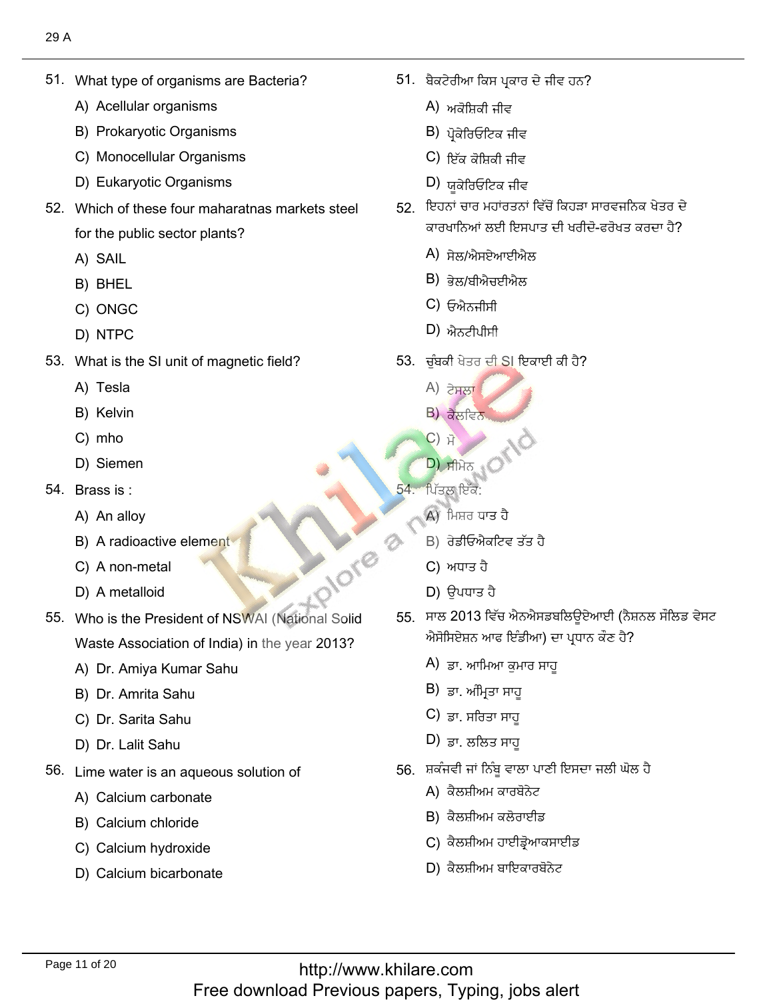What type of organisms<br>A) Acellular organisms

51. What type of organisms are Bacteria?

- A) Acellular organisms
- A) Acellular organisms<br>B) Prokaryotic Organisms<br>C) Monocellular Organisms
- C) Monocellular Organisms<br>D) Eukarvotic Organisms
- D) Eukaryotic Organisms
- 52. Which of these four maharatnas markets steel for the public<br>A) SAIL
	- A) SAIL
	- A) SAIL<br>B) BHEL<br>C) ONGC
	- C) ONGC<br>D) NTPC
	- D) NTPC
- What is the SI<br>A) Tesla
	- A) Tesla<br>B) Kelvin
	- B) Kelvin<br>C) mho
	- C) mho
- C) mho<br>D) Siemen
- 54. Brass is:
	- Brass is :<br>A) An alloy
	- A) An alloy<br>B) A radioactive element<br>C) A non-metal D) A metalloid
	- C) A non-meta<br>D) A metalloid
	-
- 55. Who is the President of NSWAI (National Solid Waste Association of India) in th<br>A) Dr. Amiva Kumar Sahu
	- A) Dr. Amiya Kuma<br>B) Dr. Amrita Sahu
	- B) Dr. Amrita Sahu<br>C) Dr. Sarita Sahu
	- C) Dr. Sarita Sahu<br>D) Dr. Lalit Sahu
	- D) Dr. Lalit Sahu
- Lime water is an aqueous s<br>A) Calcium carbonate
	- A) Calcium carbonate<br>B) Calcium chloride
	- B) Calcium chloride
	- B) Calcium chloride<br>C) Calcium hydroxide<br>D) Calcium bicarbonate
	-

. ਬੈਕਟੇਰੀਆ ਕਿਸ ਪ੍ਰ<br>A) ਅਕੋਸ਼ਿਕੀ ਜ਼ੀਵ

?كٍِٔطٗفيْذᴆلُذٓأيٗغذ٘ن 51.

- A) ਅਕੋਸ਼ਿਕੀ ਜੀਵ<br>B) ਮੋਕੇਰਿਓਟਿਕ ਜੀਵ
- B) ਪ੍ਰੋਕੇਰਿਓਟਿਕ ਜੀਵ<br>C) ਇੱਕ ਕੋਧਿਕੀ ਜੀਵ
- C) ਇੱਕ ਕੋਸ਼ਿਕੀ ਜੀਵ<br>D) ਸ਼ਕੇਰਿਓਟਿਕ ਜੀਵ
- D) ਯੂਕੇਰਿਓਟਿਕ ਜੀਵ
- 52. ਇਹਨਾਂ ਚਾਰ ਮਹਾਂਰਤਨਾਂ ਵਿੱਚੋਂ ਕਿਹੜਾ ਸਾਰਵਜਨਿਕ ਖੇਤਰ ਦੇ ਕਾਰਖਾਨਿਆਂ ਲਈ ਇਸਪ<br>A) ਚੇਲ/ਐਸਏਆਈਐਲ
	- Å) ਸੇਲ/ਐਸਏਆਈਐ<br>B) ਕੇਲ/ਸੀਐਜਈਐਲ
	- B) ਭੇਲ/ਬੀਐਚਈ<sup>,</sup><br>C) ਓਐਨ੍ਹੀਬੀ
	- C) ਓਐਨਜੀਸੀ<br>D) ਐਨਟੀਮੀਸ਼ੀ
	- $D$ ) ਐਨਟੀਪੀਸੀ
- ؛. ਚੁੰਬਕੀ ਖੇਤਰ ਦੀ<br>Å) ਟੇਸਲਾ
	- A) ਟੇਸਲਾ<br>B) <del>ਡੈ</del>ਲਟਿਨ
	- <mark>B) ਕੈਲਵਿਨ</mark><br>C) ਸੋ
	- **C**) 计 C) ਸੋ<br>D) ਸੀਮੇਨ ੍ਹ<sup>ਿ</sup>
- $\begin{CD}$ , ਸੀਮੇਨ $\begin{CD} 54. \end{CD}$  , ਪਿੱਤਲ ਇਕ:
	-
- ਪਿੱਤਲ ਇੱਕ:<br>A)ੀਮਿਸ਼ਰ ਧਾਤ ਹੈ
	- A) ਮਿਸ਼ਰ ਧਾਤ ਹੈ<br>B) ਰੇਡੀਓਐਕਟਿਵ<br>C) ਅਧਾਤ ਹੈ
	- C) ਅਧਾਤ ਹੈ
- C) ਅਧਾਤ ਹੈ<br>D) ਉਪਧਾਤ ਹੈ
- ;਼ ਸਾਲ 2013 ਵਿੱਚ ਐਨਐਸਡਬਲਿਊਏਆਈ (ਨੈਸ਼ ਐਸੋਸਿਏਸ਼ਨ ਆਫ ਇੰਡੀਆ) ਦ<br>A) ਤਾ. ਆਖਿਆ ਕੁਮਾਰ ਸਾਹ ਰੇਡੀਓਐਕਟਿਵ ਤੱਤ ਹੈ<br>ਅਧਾਤ ਹੈ<br>ਉਪਧਾਤ ਹੈ<br>ਉਪਧਾਤ ਹੈ<br>ਸੇਏਸ਼ਨ ਆਫ ਇੰਡੀਆ) ਦਾ ਪ੍ਰਾ<br>ਸੇਏਸ਼ਨ ਆਫ ਇੰਡੀਆ) ਦਾ ਪ੍ਰਾ<br>ਡਾ. ਅਮ੍ਰਿਤਾ ਸਾਹੂ<br>ਡਾ. ਸਰਿਤਾ ਸਾਹੂ<br>ਡਾ. ਸ਼ਰਿਤਾ ਸਾਹੂ<br>ਜ਼ੋਲੀਅਮ ਕਾਰਬੋਨੇਟ<br>ਕੈਲਸ਼ੀਅਮ ਕਾਰਬੋਨੇਟ<br>ਕੈਲਸ਼ੀਅਮ ਕਾਰਬੋਨੇਟ
	- A) ਡਾ. ਆਮਿਆ ਕੁਮ<br>B) ਤਾ. ਅੰਮਿਤਾ ਸਾਹ
	- B) ਡਾ. ਅੰਮ੍ਰਿਤਾ ਸਾਹੂ<br>C) ਤਾ. ਸਰਿਤਾ ਸਾਹ
	- C) ਡਾ. ਸਰਿਤਾ ਸਾਹੂ<br>D) ਤਾ. ਲਲਿਤ ਸਾਹ
	- D) ਡਾ. ਲਲਿਤ ਸਾਹੁ
	- i. ਸ਼ਕੰਜਵੀ ਜਾਂ ਨਿੰਬੂ ਵਾਲਾ ਪ<br>A) ਕੈਲਸ਼ੀਅਮ ਕਾਰਬੋਨੇਟ
		- A) ਕੈਲਸ਼ੀਅਮ ਕਾਰਬੋਨੇਟ<br>B) ਕੈਲਸ਼ੀਅਮ ਕਲੋਰਾਈਡ
		-
		- B) ਕੈਲਸ਼ੀਅਮ ਕਲੋਰਾਈਡ<br>C) ਕੈਲਸ਼ੀਅਮ ਹਾਈਡ੍ਰੋਆਕਸਾਾ<br>D) ਕੈਲਸ਼ੀਅਮ ਬਾਇਕਾਰਬੋਨੇਟ
		-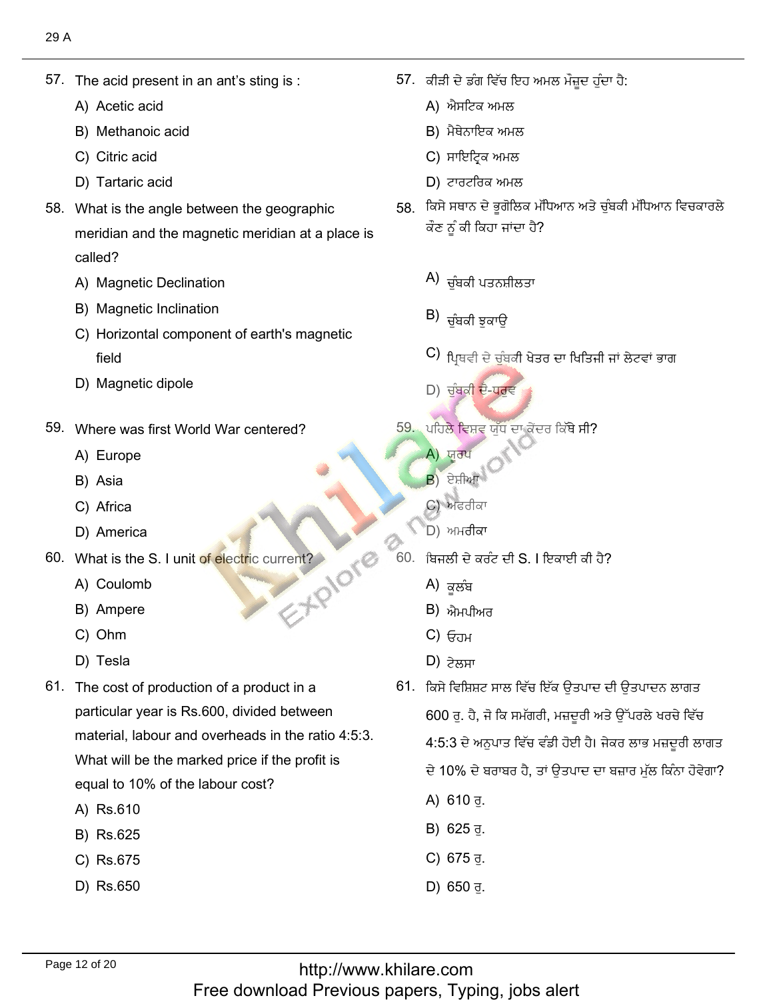The acid prese<br>A) Acetic acid

57. The acid present in an antís sting is :

- A) Acetic acid
- A) Acetic acid<br>B) Methanoic acid<br>C) Citric acid
- C) Citric acid
- C) Citric acid<br>D) Tartaric acid
- 58. What is the angle between the geographic meridian and the magnetic meridian at a place is called?
	- called?<br>A) Magnetic Declination<br>B) Magnetic Inclination
	- B) Magnetic Inclination
	- Magnetic Inclination<br>Horizontal component of earth's magnetic
	- field<br>D) Magnetic dipole
- Where was first<br>A) Europe
	- A) Europe<br>B) Asia
	- B) Asia
	- B) Asia<br>C) Africa
- C) Africa<br>
D) America
- St.Plore What is the S. I ur<br>A) Coulomb
	- A) Coulomb<br>B) Ampere
	- B) Ampere<br>C) Ohm
	- C) Ohm<br>D) Tesla
	- D) Tesla
- 61. The cost of production of a product in a particular year is Rs.600, divided between material, labour and overheads in the ratio 4:5:3. What will be the marked price if the profit is equal to 10% of<br>A) Rs.610
	- A) Rs.610
	- A) Rs.610<br>B) Rs.625<br>C) Rs.675
	- C) Rs.675<br>D) Rs.650
	-

'. ਕੀੜੀ ਦੇ ਡੰਗ ਵਿੱਚ f<br>A) ਐਸਟਿਕ ਅਮਲ

 $\mathcal{L}^{\mathcal{L}}$ , the set of the set of the set of the set of the set of the set of the set of the set of the set of the set of the set of the set of the set of the set of the set of the set of the set of the set of the se

- A) ਐਸਟਿਕ ਅਮਲ
- A) ਐਸਟਿਕ ਅਮਲ<br>B) ਮੈਥੇਨਾਇਕ ਅਮਲ<br>C) ਸਾਇਟਿਕ ਅਮਲ
- C) ਸਾਇਟ੍ਰਿਕ ਅਮਲ<br>D) ਟਾਰਟਰਿਕ ਅਮਲ
- 
- اً D) ਟਾਰਟਰਿਕ ਅਮਲ<br>58. ਕਿਸੇ ਸਥਾਨ ਦੇ ਭੁਗੋਲਿਕ ਮੱਧਿਆਨ ਅਤੇ ਚੁੰਬਕੀ ਮੱਧਿ<sup>,</sup> ਕੌਣ ਨੂੰ ਕੀ ਕਿਹਾ ਜਾਂਦਾ ਹੈ?
	- $(A)$ ਚੰਬਕੀ ਪਤਨਸ਼ੀਲਤਾ تْ تُسْخُطُ عَلَيْهِ مِنْ الْمُسْتَخِطِ عَلَيْهِ مِنْ الْمُسْتَخِطِ عَلَيْهِ مِنْ الْمُسْتَخِطِ عَلَيْهِ مِنْ<br>مُسْتَخِطِ عَلَيْهِ مِنْ الْمُسْتَخِطِ عَلَيْهِ مِنْ الْمُسْتَخِطِ عَلَيْهِ مِنْ الْمُسْتَخِطِ عَلَيْهِ مِنْ ا
	- $\vert$ B) ਚੰਬਕੀ ਝਕਾਉ زْهِ إِذَا إِنَّهُمْ إِذْ يَعْلَى الْعَامِرِينَ بِهِ إِلَى الْعَامِرِينَ بِهِ الْعَامِرِينَ بِهِ الْعَامِرِينَ<br>الْعَامِرِينَ بِهِ الْعَامِرِينَ بِهِ الْعَامِرِينَ بِهِ الْعَامِرِينَ بِهِ الْعَامِرِينَ بِهِ الْعَامِرِينَ ب
	- (C  $\overline{a}$ أَعام المقام المقام المقام المقام المقام المقام المقام المقام المقام المقام المقام المقام المقام المقام المقام ا
- D) ਚੰਬਕੀ ਦੋ-ਧਰਵ  $\mathcal{L}$  , the state  $\mathcal{L}$ 
	- ليٖى (A
		- A) ਯਰਪ
		- A) ਯੂਰਪ<br>B) ਏਸ਼ੀਆ
		- <mark>B</mark>) ਏਸ਼ੀਆ<br>C) ਅਫਰੀਕਾ
- C) ਅਫਰੀਕਾ<br>D) ਅਮਰੀਕਾ
	- <sup>)</sup>.ਂ ਬਿਜਲੀ ਦੇ ਕਰੰਟ<sup>਼</sup><br>A) ਕਲੰਬ
		- A) ਕਲੰਬ
		- A) ਕੂਲੰਬ<br>B) ਐਮਪੀਅਰ<br>C) <del>ਓ</del>ਜ਼ਮ
		- C) ਓਹਮ<br>D) <del>੭ੇਲ</del>਼ਸ਼ਾ
		-

D) ਟੇਲਸਾ<br>61. ਕਿਸੇ ਵਿਸ਼ਿਸ਼ਟ ਸਾਲ ਵਿੱਚ ਇੱਕ ਉਤਪਾਦ ਦੀ ਉਤਪਾਦਨ ਲਾਗਤ ਪਹਿਲੇ ਵਿਸ਼ਵ ਯੁੱਧ ਦਾ ਕੇਂਦਰ ਕਿੱਥੇ ਸੀ?<br><sup>(2)</sup> ਯੂਰਪ<br>(2) ਅਫਰੀਕਾ<br>(2) ਅਫਰੀਕਾ<br>ਪਿਜਲੀ ਦੇ ਕਰੰਟ ਦੀ S. I ਇਕਾਈ ਕੀ ਹੈ?<br>(4) ਕੂਲੰਬ<br>(2) ਐਮਪੀਅਰ<br>(2) ਓਹਮ<br>(2) ਟਿਲਸਾ<br>(2) ਟੇਲਸਾ<br>(2) ਟੇਲਸਾ

ਤਪਾਦਨ ਲਾਗਤ<br>ਤਪਾਦਨ ਲਾਗਤ<br>ਪਰਲੇ ਖਰਚੇ ਵਿੱਚ

600 ਰੁ. ਹੈ, ਜੋ ਕਿ ਸਮੱਗਰੀ, ਮਜ਼ਦੂਰੀ ਅਤੇ ਉੱਪਰਲੇ ਖਰਚੇ ਵਿੱਚ<br>4:5:3 ਦੇ ਅਨੁਪਾਤ ਵਿੱਚ ਵੰਡੀ ਹੋਈ ਹੈ। ਜੇਕਰ ਲਾਭ ਮਜ਼ਦੂਰੀ ਲਾਗਤ

- ਦੇ 10% ਦੇ ਬਰਾਬਰ ਹੈ, ਤਾਂ ਉਤਪਾਦ ਦਾ ਬਜ਼ਾਰ ਮੁੱਲ ਕਿੰਨਾ ਹੋਵੇਗਾ?
- 
- ਦ 10% ਦ ਬਰਾ<br>A) 610 ਰੁ.<br>B) 625 ਰੁ.<br>C) 675 ਰੁ.<br>D) 650 ਰੁ.
- C) 675 ਰੁ.
-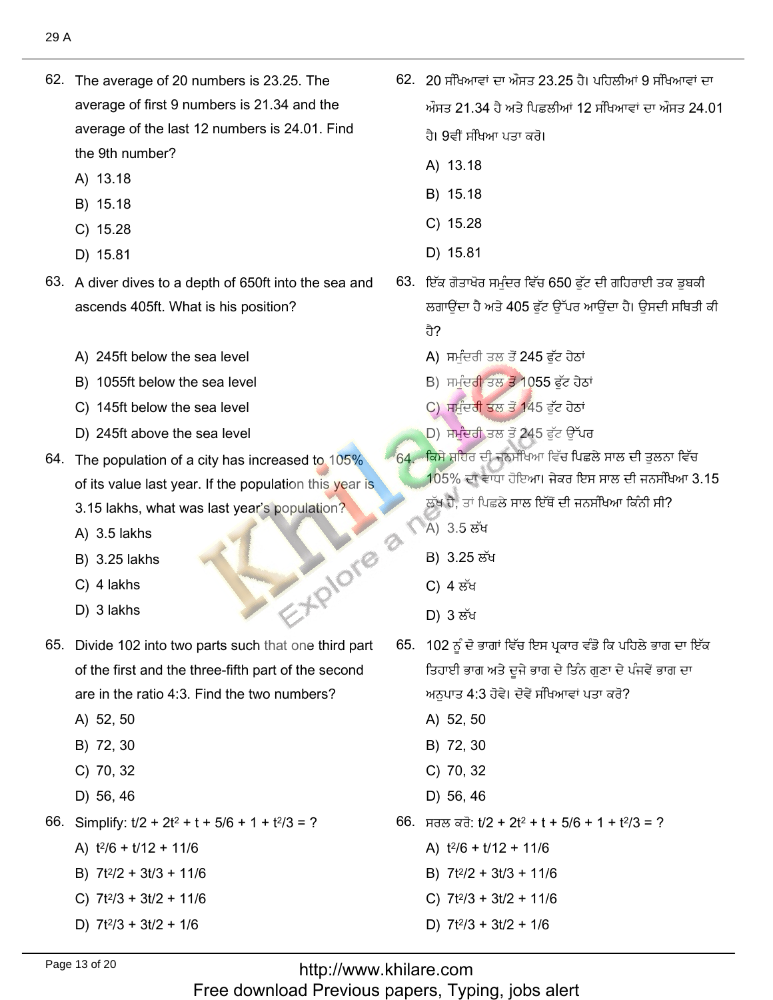- 62. The average of 20 numbers is 23.25. The average of first 9 numbers is 21.34 and the average of the last 12 numbers is 24.01. Find the 9th number?
	- A) 13.18
	- B) 15.18
	- C) 15.28
	- D) 15.81
- 63. A diver dives to a depth of 650ft into the sea and ascends 405ft. What is his position?
	- A) 245ft below the sea level
	- B) 1055ft below the sea level
	- C) 145ft below the sea level
	- D) 245ft above the sea level
- 64. The population of a city has increased to 105% of its value last year. If the population this year is 3.15 lakhs, what was last year's population?
	- A) 3.5 lakhs
	- B) 3.25 lakhs
	- C) 4 lakhs
	- D) 3 lakhs
- 65. Divide 102 into two parts such that one third part of the first and the three-fifth part of the second are in the ratio 4:3. Find the two numbers?
	- A) 52, 50
	- B) 72, 30
	- C) 70, 32
	- D) 56, 46
- 66. Simplify:  $t/2$  +  $2t^2$  +  $t$  +  $5/6$  + 1 +  $t^2/3$  = ?
	- A)  $t^2/6 + t/12 + 11/6$
	- B)  $7t^2/2 + 3t/3 + 11/6$
	- C)  $7t^2/3 + 3t/2 + 11/6$
	- D)  $7t^2/3 + 3t/2 + 1/6$
- 62. 20 ਸੰਖਿਆਵਾਂ ਦਾ ਔਸਤ 23.25 ਹੈ। ਪਹਿਲੀਆਂ 9 ਸੰਖਿਆਵਾਂ ਦਾ ਔਸਤ 21.34 ਹੈ ਅਤੇ ਪਿਛਲੀਆਂ 12 ਸੰਖਿਆਵਾਂ ਦਾ ਔਸਤ 24.01
	- ਹੈ। 9ਵੀਂ ਸੰਖਿਆ ਪਤਾ ਕਰੋ।
	- A) 13.18
	- B) 15.18
	- C) 15.28
	- D) 15.81
- 63. ਇੱਕ ਗੋਤਾਖੋਰ ਸਮੁੰਦਰ ਵਿੱਚ 650 ਫੁੱਟ ਦੀ ਗਹਿਰਾਈ ਤਕ ਡੂਬਕੀ ਲਗਾਉਂਦਾ ਹੈ ਅਤੇ 405 ਫੱਟ ਉੱਪਰ ਆਉਂਦਾ ਹੈ। ਉਸਦੀ ਸਥਿਤੀ ਕੀ ਹੈ?
	- A) ਸਮੁੰਦਰੀ ਤਲ ਤੋਂ 245 ਫੁੱਟ ਹੇਠਾਂ
	- B) ਸਮੁੰਦਰੀ ਤਲ ਤੋਂ 1055 ਫੱਟ ਹੇਠਾਂ
	- C) ਸਮੁੰਦਰੀ ਤਲ ਤੋਂ 145 ਫੁੱਟ ਹੇਠਾਂ
	- D) ਸਮੁੰਦਰੀ ਤਲ ਤੋਂ 245 ਫੁੱਟ ਉੱਪਰ
- 64. ਕਿਸੇ ਸ਼ਹਿਰ ਦੀ ਜਨਸੰਖਿਆ ਵਿੱਚ ਪਿਛਲੇ ਸਾਲ ਦੀ ਤੁਲਨਾ ਵਿੱਚ
	- 105% ਦਾ ਵਾਧਾ ਹੋਇਆ। ਜੇਕਰ ਇਸ ਸਾਲ ਦੀ ਜਨਸੰਖਿਆ 3.15
		- ਲੱਖ ਹੈ. ਤਾਂ ਪਿਛਲੇ ਸਾਲ ਇੱਥੋਂ ਦੀ ਜਨਸੰਖਿਆ ਕਿੰਨੀ ਸੀ?
	- A) 3.5 ਲੱਖ
	- B) 3.25 ਲੱਖ
	- C) 4 ਲੱਖ

EXPIORE 2

- D) 3 ਲੱਖ
- 65. 102 ਨੂੰ ਦੋ ਭਾਗਾਂ ਵਿੱਚ ਇਸ ਪ੍ਰਕਾਰ ਵੰਡੋ ਕਿ ਪਹਿਲੇ ਭਾਗ ਦਾ ਇੱਕ ਤਿਹਾਈ ਭਾਗ ਅਤੇ ਦੂਜੇ ਭਾਗ ਦੇ ਤਿੰਨ ਗੁਣਾ ਦੇ ਪੰਜਵੇਂ ਭਾਗ ਦਾ ਅਨੁਪਾਤ 4:3 ਹੋਵੇ। ਦੋਵੇਂ ਸੰਖਿਆਵਾਂ ਪਤਾ ਕਰੋ?
	- A) 52, 50
	- B) 72, 30
	- C) 70, 32
	- D) 56, 46
- 66. ਸਰਲ ਕਰੋ: t/2 + 2t<sup>2</sup> + t + 5/6 + 1 + t<sup>2</sup>/3 = ?
	- A)  $t^2/6 + t/12 + 11/6$
	- B)  $7t^2/2 + 3t/3 + 11/6$
	- C)  $7t^2/3 + 3t/2 + 11/6$
	- D)  $7t^2/3 + 3t/2 + 1/6$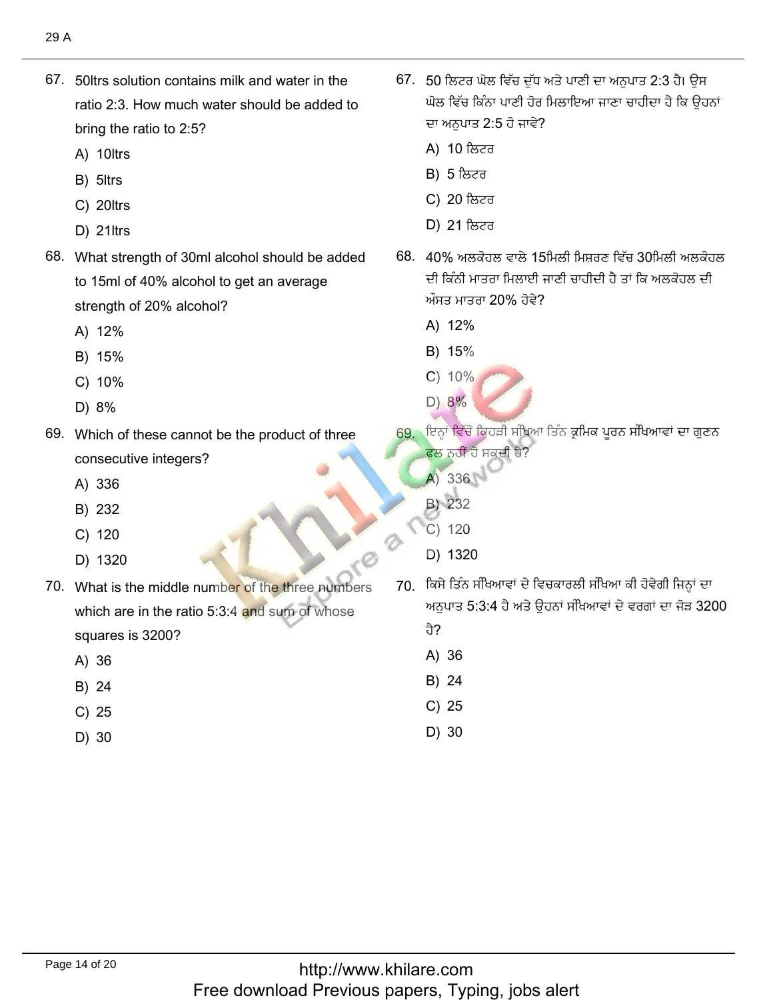67. 50 trs solution contains milk and water in the ratio 2:3. How much water should be added to bring the ratio<br>A) 10ltrs

67. 50ltrs solution contains milk and water in the

- A) 10ltrs<br>B) 5ltrs
- B) 5ltrs
- B) 5ltrs<br>C) 20ltrs<br>D) 21ltrs
- D) 21 ltrs
- 68. What strength of 30ml alcohol should be added to 15ml of 40% alcohol to get an average strength of 20<br>A) 12%
	- A) 12%<br>B) 15%
	- B) 15%
	- B) 15%<br>C) 10%<br>D) 8%
	- D) 8%
- 69. Which of these cannot be the product of three consecutive<br>A) 336
	- A) 336<br>B) 232
	- B) 232 B) 232<br>C) 120
	-
- C) 120<br>D) 1320
- 70. What is the middle number of the three numbers which are in the ratio  $5:3:4$  and sum of whose squares is:<br>A) 36
	- A) 36<br>B) 24
	- B) 24
	- B) 24<br>C) 25<br>D) 30
	-

, 50 ਲਿਟਰ ਘੋਲ ਵਿੱਚ ਦੱਧ ਅਤੇ ਪਾਣੀ ਦਾ ਅਨੁਪਾਤ 2:3 ਹੈ। ਉਸ .<br>ਘੋਲ ਵਿੱਚ ਕਿੰਨਾ ਪਾਣੀ ਹੋਰ ਦਾ ਅਨੁਪਾਤ 2:5<br>A) 10 ਲਿਟਰ

ُتِّ 2:3 مِنْ 2:3 مِنْ 2:3 مِنْ 2:3 مِنْ 2:3 مِنْ 2:3 مِنْ 2:3 مِنْ 2:3 مِنْ 2:3 مِنْ 2:3 مِنْ 2:3 مِنْ 2:3 مِ

- A) 10 ਲਿਟਰ<br>B) 5 ਲਿਟਰ
- B) 5 ਲਿਟਰ
- B) 5 ਲਿਟਰ<br>C) 20 ਲਿਟਰ
- **D) 21 ਲਿਟਰ** أَصٍّ مِنْ الأَصْحَابِ الْمَسَوِّينَ فِي الْمَسْتَخْفَرَ فِي الْمَسْتَخْفَضَ بِيَا مِنْ الْمَسْتَخْفَضَ بِيَا
	- $3.40\%$  ਅਲਕੋਹਲ ਵਾਲੇ 15ਮਿਲੀ ਮਿਸ਼ਰਣ ਵਿੱਚ  $30$ ਮਿਲੀ ਅਲਕੋਹ ਦੀ ਕਿੰਨੀ ਮਾਤਰਾ ਮਿਲਾਈ ਜ ਔਸਤ ਮਾਤਰਾ 20'<br>A) 12%
		- A) 12%<br>B) 15%
		-
		- B) 15%<br>C) 10%  $\begin{array}{c} C) 10\% \\ D) 8\% \end{array}$
- $D)$  8%
	- 69. ਇਨ੍ਹਾਂ ਵਿੱਚੋਂ ਕਿਹੜੀ ਸੰਖਿਆ ਤਿੰਨ ਕ੍ਰਮਿਕ ਪੂਰਨ ਸੰਖਿਆਵਾਂ ਦਾ ਗੁਣਨ ਫਲ ਨਹੀਂ ਹੋ ਸਕੂ<br>A) 336
		- $(A) 336$  $(A)$  336
		-
		- B) 232<br>C) 120
- D) 1320  $\Box$ ) 1320
	- )़ ਕਿਸੇ ਤਿੰਨ ਸੰਖਿਆਵਾਂ ਦੇ ਵਿਚਕਾਰਲੀ ਸੰਖਿਆ ਕੀ ਹੋਵੇਗੀ ਜਿਨ੍ਹਾਂ ਦਾ ਅਨਪਾਤ 5:3:4 ਹ<u>ੈ</u>
		- ਹੈ?
		- ਹੈ?<br>A) 36<br>B) 24
		- B) 24<br>C) 25
		- C) 25<br>D) 30
		-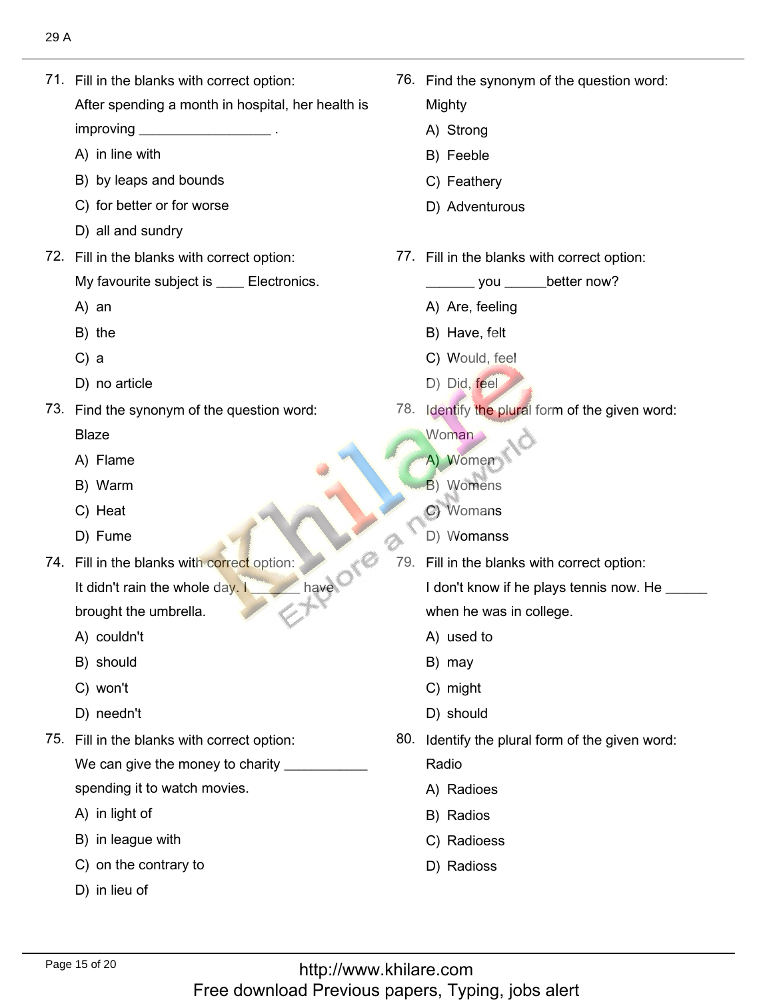71. Fill in the blanks with correct option:

71. Fill in the blanks with correct option:

After spending a month in hospital, her health is improving  $\_$ 

- improving \_\_\_\_\_\_\_\_<br>A) in line with
- A) in line with<br>B) by leaps and bounds<br>C) for better or for worse
- C) for better or for wor<br>D) all and sundrv
- D) all and sundry
- 72. Fill in the blanks with correct option:

My favourit<br>A) an

- $A)$  an
- A) an<br>B) the<br>C) a
- $C$ ) a
- C) a<br>D) no article
- 73. Find the synonym of the question word: **Blaze** 
	- Blaze<br>A) Flame<br>B) Warm
	- B) Warm<br>C) Heat
	- C) Heat<br>D) Fume
	- D) Fume
- 74. Fill in the blanks with correct option: It didn't rain the whole day.  $I$

brought the<br>A) couldn't

- A) couldn't<br>B) should
- B) should<br>C) won't
- C) won't
- C) won't<br>D) needn't
- 75. Fill in the blanks with correct option: We can give the money to charity  $\overline{\phantom{a}}$ 
	- spending it to wat<br>A) in light of
	- A) in light of
	- A) in light of<br>B) in league with
	- B) in league with<br>C) on the contrary to<br>D) in lieu of
	-

76. Find the synonym of the question word:

76. Find the synonym of the question word:

Mighty

- Mighty<br>A) Strong<br>B) Feeble
- B) Feeble
- B) Feeble<br>C) Feathery
- D) Adventurous
- 77. Fill in the blanks with correct option:
	- \_\_\_\_\_\_\_ you \_\_\_\_\_\_t<br>A) Are. feeling
	- A) Are, feelin<br>B) Have, felt
	- B) Have, felt
	- B) Have, felt<br>C) Would, feel<br>D) Did, feel
	- D) Did, feel
- 78. Identify the plural form of the given word:
	- Woman
	- Woman<br>A) Women
	- A) Women<br>B) Womens
	- B) Womens<br>C) Woman**s**
- **19. Fill in the blanks with correct options** with correct options with correct options with correct options with correct options with correct options with correct options with correct options with correct options with cor
	- 79. Fill in the blanks with correct option: I don't know if he plays tennis now. He

when he wa<br>A) used to

- A) used to<br>B) mav
- B) may B) may<br>C) might
- 
- C) might<br>D) should
	- 80. Identify the plural form of the given word: Radio
		- Radio<br>A) Radioes<br>B) Radios
		- B) Radios
		- B) Radios<br>C) Radioess<br>D) Radioss
		-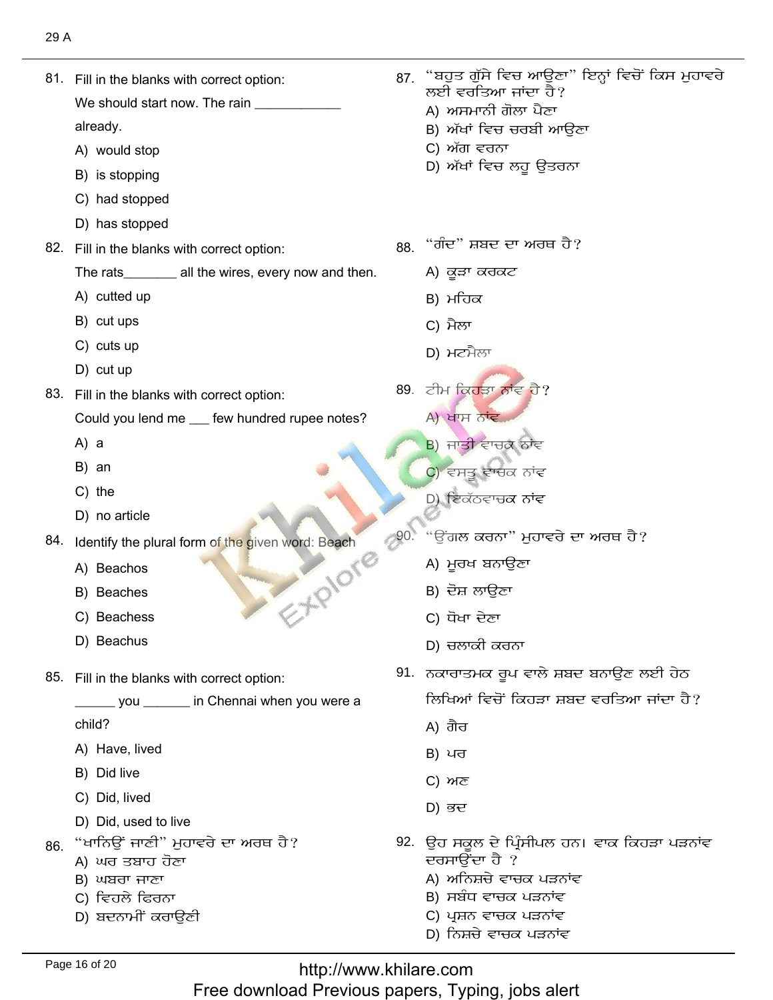| 29 A |                                                       |     |                                                                      |
|------|-------------------------------------------------------|-----|----------------------------------------------------------------------|
|      | 81. Fill in the blanks with correct option:           | 87. | "ਬਹੁਤ ਗੁੱਸੇ ਵਿਚ ਆਉਣਾ" ਇਨ੍ਹਾਂ ਵਿਚੋਂ ਕਿਸ ਮੁਹਾਵਰੇ<br>ਲਈ ਵਰਤਿਆ ਜਾਂਦਾ ਹੈ? |
|      | We should start now. The rain                         |     | A) ਅਸਮਾਨੀ ਗੋਲਾ ਪੈਣਾ                                                  |
|      | already.                                              |     | B) ਅੱਖਾਂ ਵਿਚ ਚਰਬੀ ਆਉਣਾ                                               |
|      | A) would stop                                         |     | C) ਅੱਗ ਵਰਨਾ                                                          |
|      | B) is stopping                                        |     | D) ਅੱਖਾਂ ਵਿਚ ਲਹੁ ਉਤਰਨਾ                                               |
|      | C) had stopped                                        |     |                                                                      |
|      | D) has stopped                                        |     |                                                                      |
|      | 82. Fill in the blanks with correct option:           |     | 88. "ਗੰਦ" ਸ਼ਬਦ ਦਾ ਅਰਥ ਹੈ?                                            |
|      | The rats_________ all the wires, every now and then.  |     | A) ਕੁੜਾ ਕਰਕਟ                                                         |
|      | A) cutted up                                          |     | B) ਮਹਿਕ                                                              |
|      | B) cut ups                                            |     | C) ਮੈਲਾ                                                              |
|      | C) cuts up                                            |     | D) ਮਟਮੈਲਾ                                                            |
|      | D) cut up                                             |     |                                                                      |
|      | 83. Fill in the blanks with correct option:           |     | 89. ਟੀਮ ਕਿਹੜਾ ਨਾਂਵ ਹੈ?                                               |
|      | Could you lend me __ few hundred rupee notes?         |     | A) ਖਾਸ ਨਾਂਵ                                                          |
|      | $A)$ a                                                |     | B) ਜਾਤੀ ਵਾਚਕ ਨਾਂਵ                                                    |
|      | B) an                                                 |     | C) ਵਸਤੂ ਵਾਚਕ ਨਾਂਵ                                                    |
|      | $C)$ the                                              |     | D) ਇਕੱਠਵਾਚਕ ਨਾਂਵ                                                     |
|      | D) no article                                         |     |                                                                      |
|      | 84. Identify the plural form of the given word: Beach | 90. | "ਉਂਗਲ ਕਰਨਾ" ਮੁਹਾਵਰੇ ਦਾ ਅਰਥ ਹੈ?                                       |
|      | EXPIDE<br>A) Beachos                                  |     | A) ਮੂਰਖ ਬਨਾਉਣਾ                                                       |
|      | B) Beaches                                            |     | B) ਦੋਸ਼ ਲਾਉਣਾ                                                        |
|      | C) Beachess                                           |     | C) ਧੋਖਾ ਦੇਣਾ                                                         |
|      | D) Beachus                                            |     | D) ਚਲਾਕੀ ਕਰਨਾ                                                        |
|      | 85. Fill in the blanks with correct option:           |     | 91. ਨਕਾਰਾਤਮਕ ਰੂਪ ਵਾਲੇ ਸ਼ਬਦ ਬਨਾਉਣ ਲਈ ਹੇਠ                              |
|      | ___ you ______ in Chennai when you were a             |     | ਲਿਖਿਆਂ ਵਿਚੋਂ ਕਿਹੜਾ ਸ਼ਬਦ ਵਰਤਿਆ ਜਾਂਦਾ ਹੈ?                              |
|      | child?                                                |     | A) ਗੈਰ                                                               |
|      | A) Have, lived                                        |     | B) ਪਰ                                                                |
|      | B) Did live                                           |     | C) ਅਣ                                                                |
|      | C) Did, lived                                         |     | D) ਭਦ                                                                |
|      | D) Did, used to live                                  |     |                                                                      |
| 86.  | "ਖਾਨਿਉਂ ਜਾਣੀ" ਮੁਹਾਵਰੇ ਦਾ ਅਰਥ ਹੈ?                      |     | 92. ਉਹ ਸਕੂਲ ਦੇ ਪ੍ਰਿੰਸੀਪਲ ਹਨ। ਵਾਕ ਕਿਹੜਾ ਪੜਨਾਂਵ                        |
|      | A) ਘਰ ਤਬਾਹ ਹੋਣਾ<br>B) ਘਬਰਾ ਜਾਣਾ                       |     | ਦਰਸਾਉਂਦਾ ਹੈ ?<br>A) ਅਨਿਸ਼ਚੇ ਵਾਚਕ ਪੜਨਾਂਵ                              |
|      | C) ਵਿਹਲੇ ਫਿਰਨਾ                                        |     | B) ਸਬੰਧ ਵਾਚਕ ਪੜਨਾਂਵ                                                  |
|      | D) ਬਦਨਾਮੀਂ ਕਰਾਉਣੀ                                     |     | C) ਪ੍ਰਸ਼ਨ ਵਾਚਕ ਪੜਨਾਂਵ                                                |
|      |                                                       |     | D) ਨਿਸ਼ਚੇ ਵਾਚਕ ਪੜਨਾਂਵ                                                |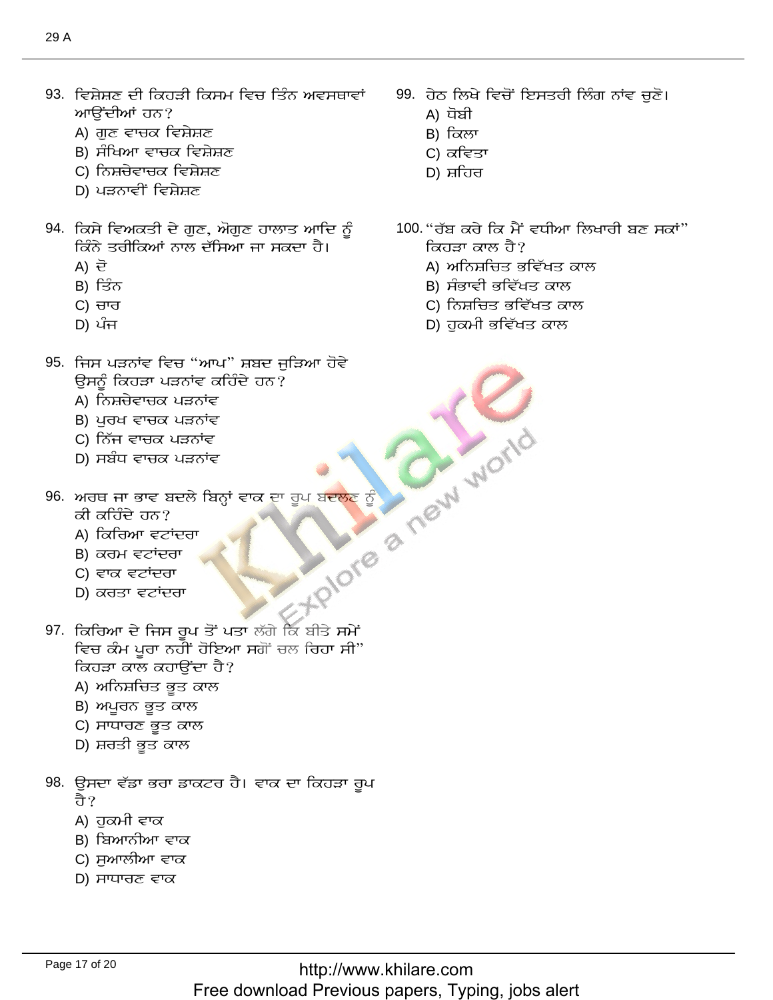- 93. ਵਿਸ਼ੇਸ਼ਣ ਦੀ ਕਿਹੜੀ ਕਿਸਮ ਵਿਚ ਤਿੰਨ ਅਵਸਥਾਵਾਂ ਆਉਂਦੀਆਂ ਹਨ?
	- A) ਗੁਣ ਵਾਚਕ ਵਿਸ਼ੇਸ਼ਣ
	- B) ਸੰਖਿਆ ਵਾਚਕ ਵਿਸ਼ੇਸ਼ਣ
	- C) ਨਿਸ਼ਚੇਵਾਚਕ ਵਿਸ਼ੇਸ਼ਣ
	- D) ਪੜਨਾਵੀਂ ਵਿਸ਼ੇਸ਼ਣ
- 94. ਕਿਸੇ ਵਿਅਕਤੀ ਦੇ ਗੁਣ, ਔਗੁਣ ਹਾਲਾਤ ਆਦਿ ਨੂੰ ਕਿੰਨੇ ਤਰੀਕਿਆਂ ਨਾਲ ਦੱਸਿਆ ਜਾ ਸਕਦਾ ਹੈ।
	- A) 균
	- B) ਤਿੰਨ
	- C) ਚਾਰ
	- D) ਪੰਜ
- 95. ਜਿਸ ਪੜਨਾਂਵ ਵਿਚ "ਆਪ" ਸ਼ਬਦ ਜੁੜਿਆ ਹੋਵੇ ਉਸਨੂੰ ਕਿਹੜਾ ਪੜਨਾਂਵ ਕਹਿੰਦੇ ਹਨ?
	- A) ਨਿਸ਼ਚੇਵਾਚਕ ਪੜਨਾਂਵ
	- B) ਪੂਰਖ ਵਾਚਕ ਪੜਨਾਂਵ
	- C) ਨਿੱਜ ਵਾਚਕ ਪੜਨਾਂਵ
	- D) ਸਬੰਧ ਵਾਚਕ ਪੜਨਾਂਵ
- 96. ਅਰਥ ਜਾ ਭਾਵ ਬਦਲੇ ਬਿਨ੍ਹਾਂ ਵਾਕ ਦਾ ਰੂਪ ਬਦਲਣ ਨੂੰ
	- ਕੀ ਕਹਿੰਦੇ ਹਨ?
	- A) ਕਿਰਿਆ ਵਟਾਂਦਰਾ
	- B) ਕਰਮ ਵਟਾਂਦਰਾ
	- C) ਵਾਕ ਵਟਾਂਦਰਾ
	- D) ਕਰਤਾ ਵਟਾਂਦਰਾ
- **FRIDTE & MEW WOTID** 97. ਕਿਰਿਆ ਦੇ ਜਿਸ ਰੂਪ ਤੋਂ ਪਤਾ ਲੱਗੇ ਕਿ ਬੀਤੇ ਸਮੇਂ ਵਿਚ ਕੰਮ ਪਰਾ ਨਹੀਂ ਹੋਇਆ ਸਗੋਂ ਚਲ ਰਿਹਾ ਸੀ" ਕਿਹੜਾ ਕਾਲ ਕਹਾਉਂਦਾ ਹੈ?
	- A) ਅਨਿਸ਼ਚਿਤ ਭੁਤ ਕਾਲ
	- B) ਅਪੂਰਨ ਭੂਤ ਕਾਲ
	- C) ਸਾਧਾਰਣ ਭੂਤ ਕਾਲ
	- D) ਸ਼ਰਤੀ ਭੁਤ ਕਾਲ
- 98. ਉਸਦਾ ਵੱਡਾ ਭਰਾ ਡਾਕਟਰ ਹੈ। ਵਾਕ ਦਾ ਕਿਹੜਾ ਰੂਪ तै?
	- A) ਹਕਮੀ ਵਾਕ
	- B) ਬਿਆਨੀਆ ਵਾਕ
	- C) ਸੁਆਲੀਆ ਵਾਕ
	- D) ਸਾਧਾਰਣ ਵਾਕ
- 99. ਹੇਠ ਲਿਖੇ ਵਿਚੋਂ ਇਸਤਰੀ ਲਿੰਗ ਨਾਂਵ ਚੁਣੋ।
	- A) ਧੋਬੀ
	- B) ਕਿਲਾ
	- C) ਕਵਿਤਾ
	- D) ਸ਼ਹਿਰ
- 100. "ਰੱਬ ਕਰੇ ਕਿ ਮੈਂ ਵਧੀਆ ਲਿਖਾਰੀ ਬਣ ਸਕਾਂ" ਕਿਹੜਾ ਕਾਲ ਹੈ?
	- A) ਅਨਿਸ਼ਚਿਤ ਭਵਿੱਖਤ ਕਾਲ
	- B) ਸੰਭਾਵੀ ਭਵਿੱਖਤ ਕਾਲ
	- C) ਨਿਸ਼ਚਿਤ ਭਵਿੱਖਤ ਕਾਲ
	- D) ਹੁਕਮੀ ਭਵਿੱਖਤ ਕਾਲ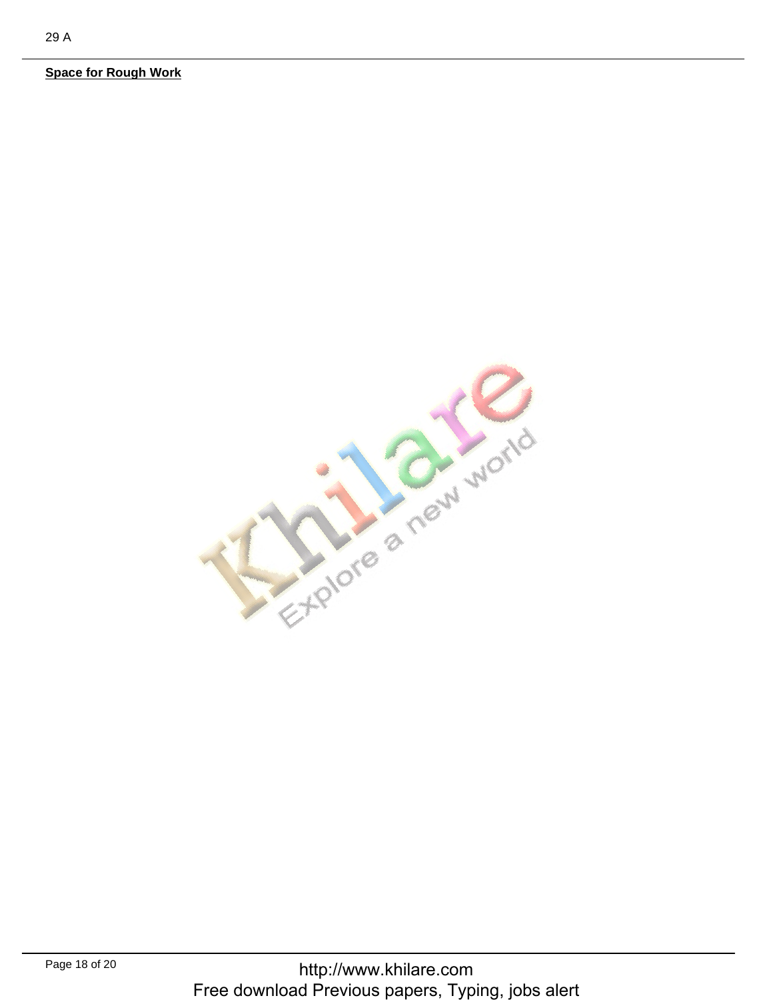**Space for Rough Work** 

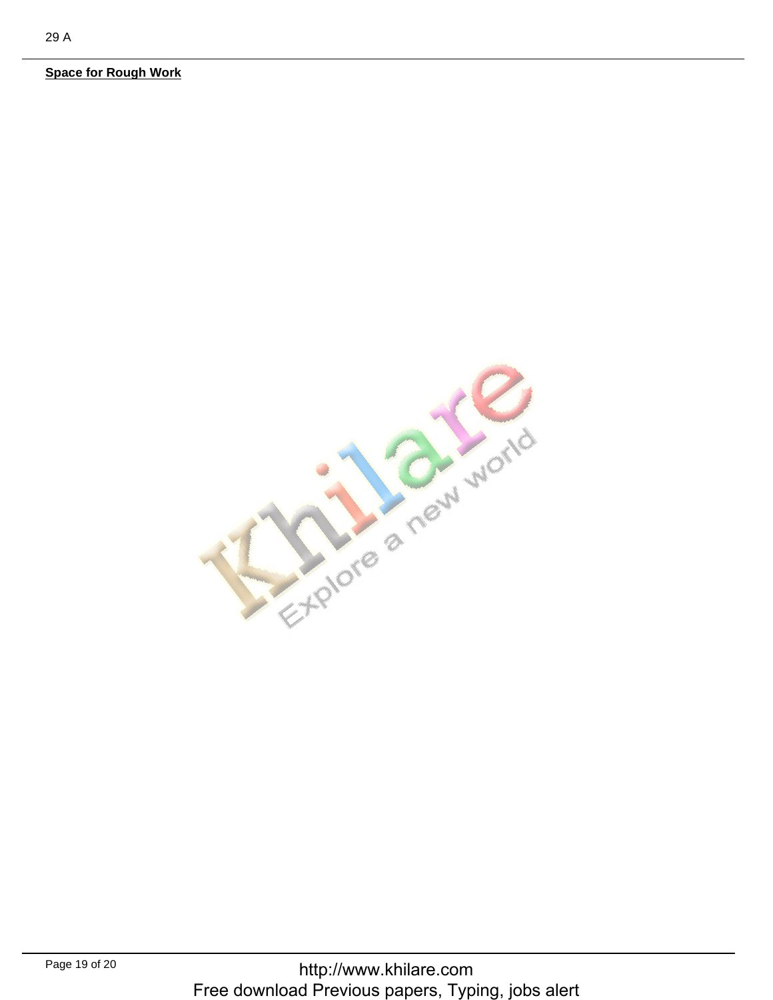**Space for Rough Work**